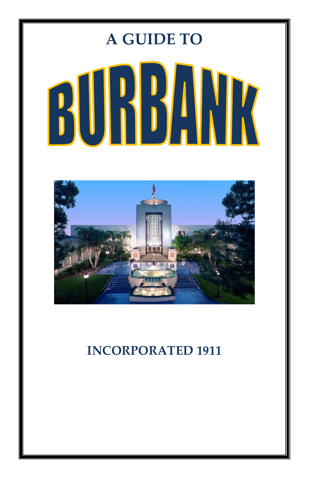

## **INCORPORATED 1911**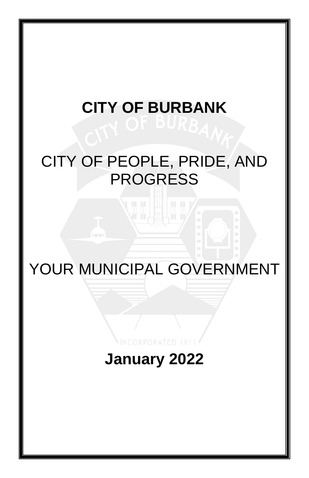## **CITY OF BURBANK**

## CITY OF PEOPLE, PRIDE, AND PROGRESS

# YOUR MUNICIPAL GOVERNMENT

## **January 2022**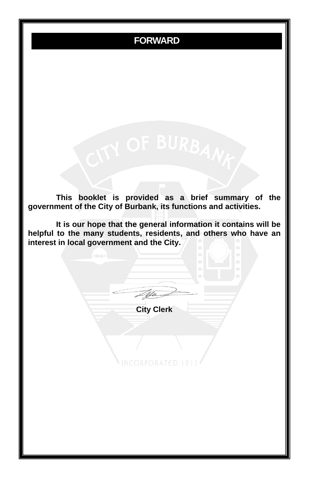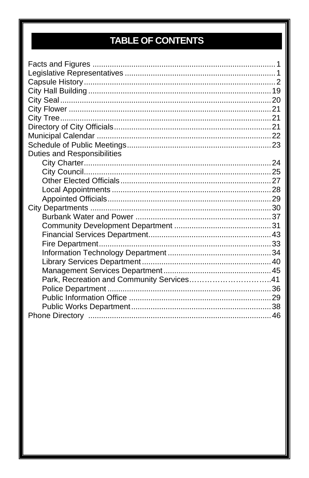## **TABLE OF CONTENTS**

| Duties and Responsibilities               |  |
|-------------------------------------------|--|
|                                           |  |
|                                           |  |
|                                           |  |
|                                           |  |
|                                           |  |
|                                           |  |
|                                           |  |
|                                           |  |
|                                           |  |
|                                           |  |
|                                           |  |
|                                           |  |
|                                           |  |
| Park, Recreation and Community Services41 |  |
|                                           |  |
|                                           |  |
|                                           |  |
|                                           |  |
|                                           |  |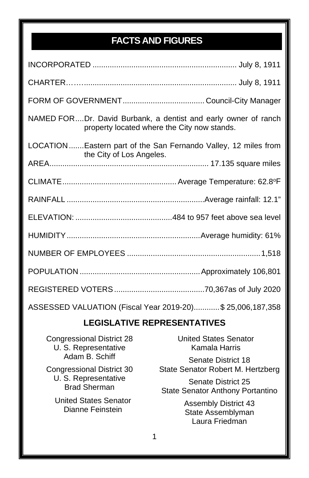### **FACTS AND FIGURES**

| NAMED FORDr. David Burbank, a dentist and early owner of ranch<br>property located where the City now stands. |
|---------------------------------------------------------------------------------------------------------------|
| LOCATION  Eastern part of the San Fernando Valley, 12 miles from<br>the City of Los Angeles.                  |
|                                                                                                               |
|                                                                                                               |
|                                                                                                               |
|                                                                                                               |
|                                                                                                               |
|                                                                                                               |
|                                                                                                               |
|                                                                                                               |
| ASSESSED VALUATION (Fiscal Year 2019-20)\$ 25,006,187,358                                                     |

### **LEGISLATIVE REPRESENTATIVES**

Congressional District 28 U. S. Representative Adam B. Schiff

Congressional District 30 U. S. Representative Brad Sherman

United States Senator Dianne Feinstein

United States Senator Kamala Harris

Senate District 18 State Senator Robert M. Hertzberg

Senate District 25 State Senator Anthony Portantino

> Assembly District 43 State Assemblyman Laura Friedman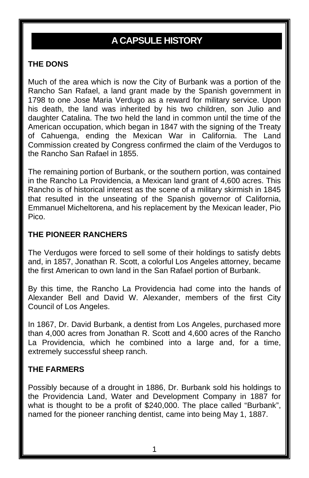### **A CAPSULE HISTORY**

#### **THE DONS**

Much of the area which is now the City of Burbank was a portion of the Rancho San Rafael, a land grant made by the Spanish government in 1798 to one Jose Maria Verdugo as a reward for military service. Upon his death, the land was inherited by his two children, son Julio and daughter Catalina. The two held the land in common until the time of the American occupation, which began in 1847 with the signing of the Treaty of Cahuenga, ending the Mexican War in California. The Land Commission created by Congress confirmed the claim of the Verdugos to the Rancho San Rafael in 1855.

The remaining portion of Burbank, or the southern portion, was contained in the Rancho La Providencia, a Mexican land grant of 4,600 acres. This Rancho is of historical interest as the scene of a military skirmish in 1845 that resulted in the unseating of the Spanish governor of California, Emmanuel Micheltorena, and his replacement by the Mexican leader, Pio Pico.

#### **THE PIONEER RANCHERS**

The Verdugos were forced to sell some of their holdings to satisfy debts and, in 1857, Jonathan R. Scott, a colorful Los Angeles attorney, became the first American to own land in the San Rafael portion of Burbank.

By this time, the Rancho La Providencia had come into the hands of Alexander Bell and David W. Alexander, members of the first City Council of Los Angeles.

In 1867, Dr. David Burbank, a dentist from Los Angeles, purchased more than 4,000 acres from Jonathan R. Scott and 4,600 acres of the Rancho La Providencia, which he combined into a large and, for a time, extremely successful sheep ranch.

#### **THE FARMERS**

Possibly because of a drought in 1886, Dr. Burbank sold his holdings to the Providencia Land, Water and Development Company in 1887 for what is thought to be a profit of \$240,000. The place called "Burbank", named for the pioneer ranching dentist, came into being May 1, 1887.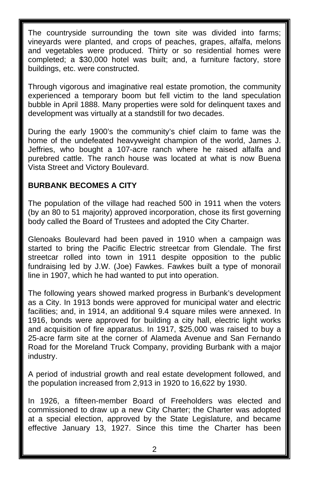The countryside surrounding the town site was divided into farms; vineyards were planted, and crops of peaches, grapes, alfalfa, melons and vegetables were produced. Thirty or so residential homes were completed; a \$30,000 hotel was built; and, a furniture factory, store buildings, etc. were constructed.

Through vigorous and imaginative real estate promotion, the community experienced a temporary boom but fell victim to the land speculation bubble in April 1888. Many properties were sold for delinquent taxes and development was virtually at a standstill for two decades.

During the early 1900's the community's chief claim to fame was the home of the undefeated heavyweight champion of the world, James J. Jeffries, who bought a 107-acre ranch where he raised alfalfa and purebred cattle. The ranch house was located at what is now Buena Vista Street and Victory Boulevard.

#### **BURBANK BECOMES A CITY**

The population of the village had reached 500 in 1911 when the voters (by an 80 to 51 majority) approved incorporation, chose its first governing body called the Board of Trustees and adopted the City Charter.

Glenoaks Boulevard had been paved in 1910 when a campaign was started to bring the Pacific Electric streetcar from Glendale. The first streetcar rolled into town in 1911 despite opposition to the public fundraising led by J.W. (Joe) Fawkes. Fawkes built a type of monorail line in 1907, which he had wanted to put into operation.

The following years showed marked progress in Burbank's development as a City. In 1913 bonds were approved for municipal water and electric facilities; and, in 1914, an additional 9.4 square miles were annexed. In 1916, bonds were approved for building a city hall, electric light works and acquisition of fire apparatus. In 1917, \$25,000 was raised to buy a 25-acre farm site at the corner of Alameda Avenue and San Fernando Road for the Moreland Truck Company, providing Burbank with a major industry.

A period of industrial growth and real estate development followed, and the population increased from 2,913 in 1920 to 16,622 by 1930.

In 1926, a fifteen-member Board of Freeholders was elected and commissioned to draw up a new City Charter; the Charter was adopted at a special election, approved by the State Legislature, and became effective January 13, 1927. Since this time the Charter has been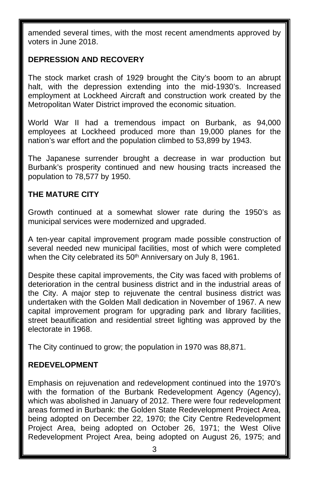amended several times, with the most recent amendments approved by voters in June 2018.

#### **DEPRESSION AND RECOVERY**

The stock market crash of 1929 brought the City's boom to an abrupt halt, with the depression extending into the mid-1930's. Increased employment at Lockheed Aircraft and construction work created by the Metropolitan Water District improved the economic situation.

World War II had a tremendous impact on Burbank, as 94,000 employees at Lockheed produced more than 19,000 planes for the nation's war effort and the population climbed to 53,899 by 1943.

The Japanese surrender brought a decrease in war production but Burbank's prosperity continued and new housing tracts increased the population to 78,577 by 1950.

#### **THE MATURE CITY**

Growth continued at a somewhat slower rate during the 1950's as municipal services were modernized and upgraded.

A ten-year capital improvement program made possible construction of several needed new municipal facilities, most of which were completed when the City celebrated its 50<sup>th</sup> Anniversary on July 8, 1961.

Despite these capital improvements, the City was faced with problems of deterioration in the central business district and in the industrial areas of the City. A major step to rejuvenate the central business district was undertaken with the Golden Mall dedication in November of 1967. A new capital improvement program for upgrading park and library facilities, street beautification and residential street lighting was approved by the electorate in 1968.

The City continued to grow; the population in 1970 was 88,871.

#### **REDEVELOPMENT**

Emphasis on rejuvenation and redevelopment continued into the 1970's with the formation of the Burbank Redevelopment Agency (Agency), which was abolished in January of 2012. There were four redevelopment areas formed in Burbank: the Golden State Redevelopment Project Area, being adopted on December 22, 1970; the City Centre Redevelopment Project Area, being adopted on October 26, 1971; the West Olive Redevelopment Project Area, being adopted on August 26, 1975; and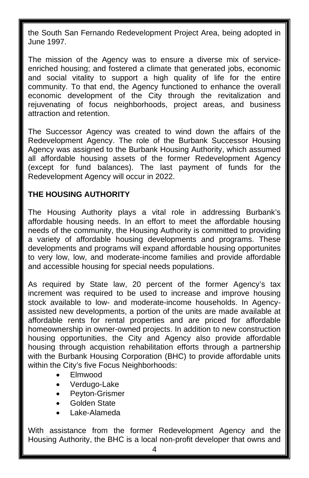the South San Fernando Redevelopment Project Area, being adopted in June 1997.

The mission of the Agency was to ensure a diverse mix of serviceenriched housing; and fostered a climate that generated jobs, economic and social vitality to support a high quality of life for the entire community. To that end, the Agency functioned to enhance the overall economic development of the City through the revitalization and rejuvenating of focus neighborhoods, project areas, and business attraction and retention.

The Successor Agency was created to wind down the affairs of the Redevelopment Agency. The role of the Burbank Successor Housing Agency was assigned to the Burbank Housing Authority, which assumed all affordable housing assets of the former Redevelopment Agency (except for fund balances). The last payment of funds for the Redevelopment Agency will occur in 2022.

#### **THE HOUSING AUTHORITY**

The Housing Authority plays a vital role in addressing Burbank's affordable housing needs. In an effort to meet the affordable housing needs of the community, the Housing Authority is committed to providing a variety of affordable housing developments and programs. These developments and programs will expand affordable housing opportunites to very low, low, and moderate-income families and provide affordable and accessible housing for special needs populations.

As required by State law, 20 percent of the former Agency's tax increment was required to be used to increase and improve housing stock available to low- and moderate-income households. In Agencyassisted new developments, a portion of the units are made available at affordable rents for rental properties and are priced for affordable homeownership in owner-owned projects. In addition to new construction housing opportunities, the City and Agency also provide affordable housing through acquistion rehabilitation efforts through a partnership with the Burbank Housing Corporation (BHC) to provide affordable units within the City's five Focus Neighborhoods:

- Elmwood
- Verdugo-Lake
- Peyton-Grismer
- Golden State
- Lake-Alameda

With assistance from the former Redevelopment Agency and the Housing Authority, the BHC is a local non-profit developer that owns and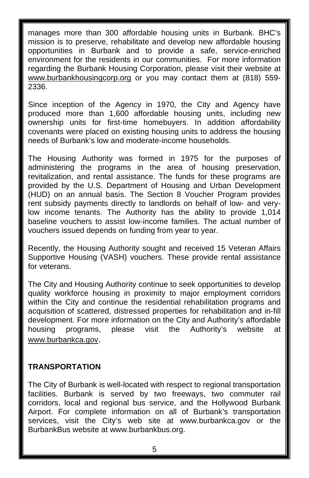manages more than 300 affordable housing units in Burbank. BHC's mission is to preserve, rehabilitate and develop new affordable housing opportunities in Burbank and to provide a safe, service-enriched environment for the residents in our communities. For more information regarding the Burbank Housing Corporation, please visit their website at www.burbankhousingcorp.org or you may contact them at (818) 559- 2336.

Since inception of the Agency in 1970, the City and Agency have produced more than 1,600 affordable housing units, including new ownership units for first-time homebuyers. In addition affordability covenants were placed on existing housing units to address the housing needs of Burbank's low and moderate-income households.

The Housing Authority was formed in 1975 for the purposes of administering the programs in the area of housing preservation, revitalization, and rental assistance. The funds for these programs are provided by the U.S. Department of Housing and Urban Development (HUD) on an annual basis. The Section 8 Voucher Program provides rent subsidy payments directly to landlords on behalf of low- and verylow income tenants. The Authority has the ability to provide 1,014 baseline vouchers to assist low-income families. The actual number of vouchers issued depends on funding from year to year.

Recently, the Housing Authority sought and received 15 Veteran Affairs Supportive Housing (VASH) vouchers. These provide rental assistance for veterans.

The City and Housing Authority continue to seek opportunities to develop quality workforce housing in proximity to major employment corridors within the City and continue the residential rehabilitation programs and acquisition of scattered, distressed properties for rehabilitation and in-fill development. For more information on the City and Authority's affordable housing programs, please visit the Authority's website at www.burbankca.gov.

#### **TRANSPORTATION**

The City of Burbank is well-located with respect to regional transportation facilities. Burbank is served by two freeways, two commuter rail corridors, local and regional bus service, and the Hollywood Burbank Airport. For complete information on all of Burbank's transportation services, visit the City's web site at www.burbankca.gov or the BurbankBus website at www.burbankbus.org.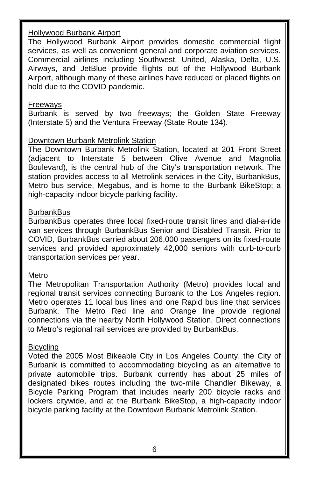#### Hollywood Burbank Airport

The Hollywood Burbank Airport provides domestic commercial flight services, as well as convenient general and corporate aviation services. Commercial airlines including Southwest, United, Alaska, Delta, U.S. Airways, and JetBlue provide flights out of the Hollywood Burbank Airport, although many of these airlines have reduced or placed flights on hold due to the COVID pandemic.

#### Freeways

Burbank is served by two freeways; the Golden State Freeway (Interstate 5) and the Ventura Freeway (State Route 134).

#### Downtown Burbank Metrolink Station

The Downtown Burbank Metrolink Station, located at 201 Front Street (adjacent to Interstate 5 between Olive Avenue and Magnolia Boulevard), is the central hub of the City's transportation network. The station provides access to all Metrolink services in the City, BurbankBus, Metro bus service, Megabus, and is home to the Burbank BikeStop; a high-capacity indoor bicycle parking facility.

#### **BurbankBus**

BurbankBus operates three local fixed-route transit lines and dial-a-ride van services through BurbankBus Senior and Disabled Transit. Prior to COVID, BurbankBus carried about 206,000 passengers on its fixed-route services and provided approximately 42,000 seniors with curb-to-curb transportation services per year.

#### Metro

The Metropolitan Transportation Authority (Metro) provides local and regional transit services connecting Burbank to the Los Angeles region. Metro operates 11 local bus lines and one Rapid bus line that services Burbank. The Metro Red line and Orange line provide regional connections via the nearby North Hollywood Station. Direct connections to Metro's regional rail services are provided by BurbankBus.

#### **Bicycling**

Voted the 2005 Most Bikeable City in Los Angeles County, the City of Burbank is committed to accommodating bicycling as an alternative to private automobile trips. Burbank currently has about 25 miles of designated bikes routes including the two-mile Chandler Bikeway, a Bicycle Parking Program that includes nearly 200 bicycle racks and lockers citywide, and at the Burbank BikeStop, a high-capacity indoor bicycle parking facility at the Downtown Burbank Metrolink Station.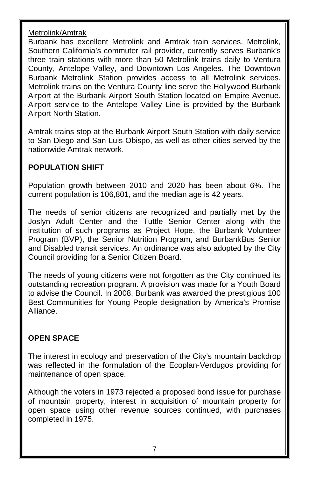#### Metrolink/Amtrak

Burbank has excellent Metrolink and Amtrak train services. Metrolink, Southern California's commuter rail provider, currently serves Burbank's three train stations with more than 50 Metrolink trains daily to Ventura County, Antelope Valley, and Downtown Los Angeles. The Downtown Burbank Metrolink Station provides access to all Metrolink services. Metrolink trains on the Ventura County line serve the Hollywood Burbank Airport at the Burbank Airport South Station located on Empire Avenue. Airport service to the Antelope Valley Line is provided by the Burbank Airport North Station.

Amtrak trains stop at the Burbank Airport South Station with daily service to San Diego and San Luis Obispo, as well as other cities served by the nationwide Amtrak network.

#### **POPULATION SHIFT**

Population growth between 2010 and 2020 has been about 6%. The current population is 106,801, and the median age is 42 years.

The needs of senior citizens are recognized and partially met by the Joslyn Adult Center and the Tuttle Senior Center along with the institution of such programs as Project Hope, the Burbank Volunteer Program (BVP), the Senior Nutrition Program, and BurbankBus Senior and Disabled transit services. An ordinance was also adopted by the City Council providing for a Senior Citizen Board.

The needs of young citizens were not forgotten as the City continued its outstanding recreation program. A provision was made for a Youth Board to advise the Council. In 2008, Burbank was awarded the prestigious 100 Best Communities for Young People designation by America's Promise Alliance.

#### **OPEN SPACE**

The interest in ecology and preservation of the City's mountain backdrop was reflected in the formulation of the Ecoplan-Verdugos providing for maintenance of open space.

Although the voters in 1973 rejected a proposed bond issue for purchase of mountain property, interest in acquisition of mountain property for open space using other revenue sources continued, with purchases completed in 1975.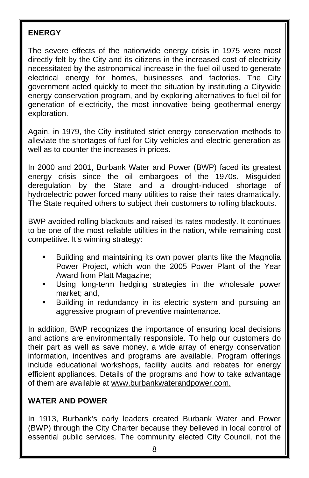#### **ENERGY**

The severe effects of the nationwide energy crisis in 1975 were most directly felt by the City and its citizens in the increased cost of electricity necessitated by the astronomical increase in the fuel oil used to generate electrical energy for homes, businesses and factories. The City government acted quickly to meet the situation by instituting a Citywide energy conservation program, and by exploring alternatives to fuel oil for generation of electricity, the most innovative being geothermal energy exploration.

Again, in 1979, the City instituted strict energy conservation methods to alleviate the shortages of fuel for City vehicles and electric generation as well as to counter the increases in prices.

In 2000 and 2001, Burbank Water and Power (BWP) faced its greatest energy crisis since the oil embargoes of the 1970s. Misguided deregulation by the State and a drought-induced shortage of hydroelectric power forced many utilities to raise their rates dramatically. The State required others to subject their customers to rolling blackouts.

BWP avoided rolling blackouts and raised its rates modestly. It continues to be one of the most reliable utilities in the nation, while remaining cost competitive. It's winning strategy:

- Building and maintaining its own power plants like the Magnolia Power Project, which won the 2005 Power Plant of the Year Award from Platt Magazine;
- Using long-term hedging strategies in the wholesale power market; and,
- **Building in redundancy in its electric system and pursuing an** aggressive program of preventive maintenance.

In addition, BWP recognizes the importance of ensuring local decisions and actions are environmentally responsible. To help our customers do their part as well as save money, a wide array of energy conservation information, incentives and programs are available. Program offerings include educational workshops, facility audits and rebates for energy efficient appliances. Details of the programs and how to take advantage of them are available at www.burbankwaterandpower.com.

#### **WATER AND POWER**

In 1913, Burbank's early leaders created Burbank Water and Power (BWP) through the City Charter because they believed in local control of essential public services. The community elected City Council, not the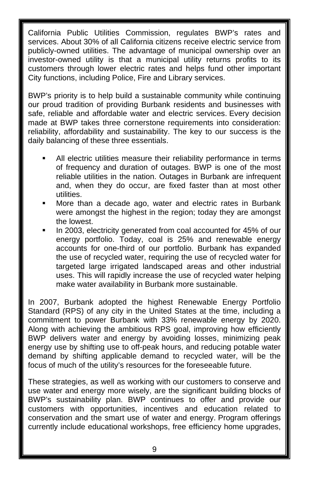California Public Utilities Commission, regulates BWP's rates and services. About 30% of all California citizens receive electric service from publicly-owned utilities. The advantage of municipal ownership over an investor-owned utility is that a municipal utility returns profits to its customers through lower electric rates and helps fund other important City functions, including Police, Fire and Library services.

BWP's priority is to help build a sustainable community while continuing our proud tradition of providing Burbank residents and businesses with safe, reliable and affordable water and electric services. Every decision made at BWP takes three cornerstone requirements into consideration: reliability, affordability and sustainability. The key to our success is the daily balancing of these three essentials.

- All electric utilities measure their reliability performance in terms of frequency and duration of outages. BWP is one of the most reliable utilities in the nation. Outages in Burbank are infrequent and, when they do occur, are fixed faster than at most other utilities.
- More than a decade ago, water and electric rates in Burbank were amongst the highest in the region; today they are amongst the lowest.
- In 2003, electricity generated from coal accounted for 45% of our energy portfolio. Today, coal is 25% and renewable energy accounts for one-third of our portfolio. Burbank has expanded the use of recycled water, requiring the use of recycled water for targeted large irrigated landscaped areas and other industrial uses. This will rapidly increase the use of recycled water helping make water availability in Burbank more sustainable.

In 2007, Burbank adopted the highest Renewable Energy Portfolio Standard (RPS) of any city in the United States at the time, including a commitment to power Burbank with 33% renewable energy by 2020. Along with achieving the ambitious RPS goal, improving how efficiently BWP delivers water and energy by avoiding losses, minimizing peak energy use by shifting use to off-peak hours, and reducing potable water demand by shifting applicable demand to recycled water, will be the focus of much of the utility's resources for the foreseeable future.

These strategies, as well as working with our customers to conserve and use water and energy more wisely, are the significant building blocks of BWP's sustainability plan. BWP continues to offer and provide our customers with opportunities, incentives and education related to conservation and the smart use of water and energy. Program offerings currently include educational workshops, free efficiency home upgrades,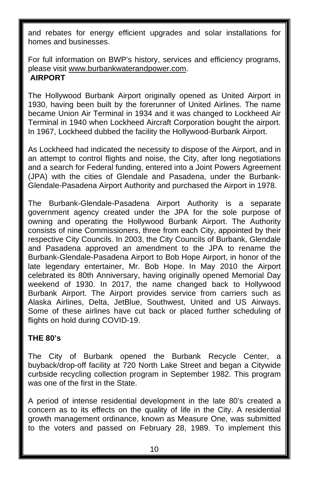and rebates for energy efficient upgrades and solar installations for homes and businesses.

For full information on BWP's history, services and efficiency programs, please visit www.burbankwaterandpower.com. **AIRPORT**

The Hollywood Burbank Airport originally opened as United Airport in 1930, having been built by the forerunner of United Airlines. The name became Union Air Terminal in 1934 and it was changed to Lockheed Air Terminal in 1940 when Lockheed Aircraft Corporation bought the airport. In 1967, Lockheed dubbed the facility the Hollywood-Burbank Airport.

As Lockheed had indicated the necessity to dispose of the Airport, and in an attempt to control flights and noise, the City, after long negotiations and a search for Federal funding, entered into a Joint Powers Agreement (JPA) with the cities of Glendale and Pasadena, under the Burbank-Glendale-Pasadena Airport Authority and purchased the Airport in 1978.

The Burbank-Glendale-Pasadena Airport Authority is a separate government agency created under the JPA for the sole purpose of owning and operating the Hollywood Burbank Airport. The Authority consists of nine Commissioners, three from each City, appointed by their respective City Councils. In 2003, the City Councils of Burbank, Glendale and Pasadena approved an amendment to the JPA to rename the Burbank-Glendale-Pasadena Airport to Bob Hope Airport, in honor of the late legendary entertainer, Mr. Bob Hope. In May 2010 the Airport celebrated its 80th Anniversary, having originally opened Memorial Day weekend of 1930. In 2017, the name changed back to Hollywood Burbank Airport. The Airport provides service from carriers such as Alaska Airlines, Delta, JetBlue, Southwest, United and US Airways. Some of these airlines have cut back or placed further scheduling of flights on hold during COVID-19.

#### **THE 80's**

The City of Burbank opened the Burbank Recycle Center, a buyback/drop-off facility at 720 North Lake Street and began a Citywide curbside recycling collection program in September 1982. This program was one of the first in the State.

A period of intense residential development in the late 80's created a concern as to its effects on the quality of life in the City. A residential growth management ordinance, known as Measure One, was submitted to the voters and passed on February 28, 1989. To implement this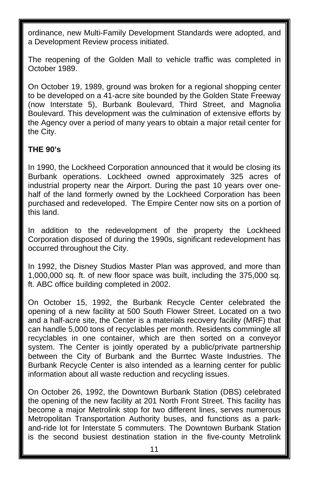ordinance, new Multi-Family Development Standards were adopted, and a Development Review process initiated.

The reopening of the Golden Mall to vehicle traffic was completed in October 1989.

On October 19, 1989, ground was broken for a regional shopping center to be developed on a 41-acre site bounded by the Golden State Freeway (now Interstate 5), Burbank Boulevard, Third Street, and Magnolia Boulevard. This development was the culmination of extensive efforts by the Agency over a period of many years to obtain a major retail center for the City.

#### **THE 90's**

In 1990, the Lockheed Corporation announced that it would be closing its Burbank operations. Lockheed owned approximately 325 acres of industrial property near the Airport. During the past 10 years over onehalf of the land formerly owned by the Lockheed Corporation has been purchased and redeveloped. The Empire Center now sits on a portion of this land.

In addition to the redevelopment of the property the Lockheed Corporation disposed of during the 1990s, significant redevelopment has occurred throughout the City.

In 1992, the Disney Studios Master Plan was approved, and more than 1,000,000 sq. ft. of new floor space was built, including the 375,000 sq. ft. ABC office building completed in 2002.

On October 15, 1992, the Burbank Recycle Center celebrated the opening of a new facility at 500 South Flower Street. Located on a two and a half-acre site, the Center is a materials recovery facility (MRF) that can handle 5,000 tons of recyclables per month. Residents commingle all recyclables in one container, which are then sorted on a conveyor system. The Center is jointly operated by a public/private partnership between the City of Burbank and the Burrtec Waste Industries. The Burbank Recycle Center is also intended as a learning center for public information about all waste reduction and recycling issues.

On October 26, 1992, the Downtown Burbank Station (DBS) celebrated the opening of the new facility at 201 North Front Street. This facility has become a major Metrolink stop for two different lines, serves numerous Metropolitan Transportation Authority buses, and functions as a parkand-ride lot for Interstate 5 commuters. The Downtown Burbank Station is the second busiest destination station in the five-county Metrolink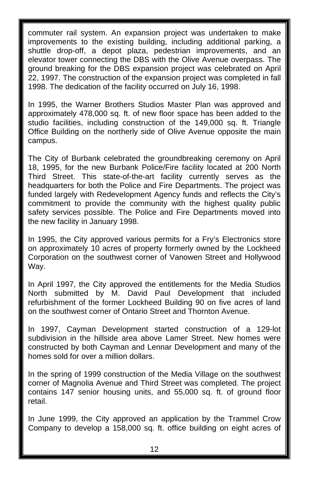commuter rail system. An expansion project was undertaken to make improvements to the existing building, including additional parking, a shuttle drop-off, a depot plaza, pedestrian improvements, and an elevator tower connecting the DBS with the Olive Avenue overpass. The ground breaking for the DBS expansion project was celebrated on April 22, 1997. The construction of the expansion project was completed in fall 1998. The dedication of the facility occurred on July 16, 1998.

In 1995, the Warner Brothers Studios Master Plan was approved and approximately 478,000 sq. ft. of new floor space has been added to the studio facilities, including construction of the 149,000 sq. ft. Triangle Office Building on the northerly side of Olive Avenue opposite the main campus.

The City of Burbank celebrated the groundbreaking ceremony on April 18, 1995, for the new Burbank Police/Fire facility located at 200 North Third Street. This state-of-the-art facility currently serves as the headquarters for both the Police and Fire Departments. The project was funded largely with Redevelopment Agency funds and reflects the City's commitment to provide the community with the highest quality public safety services possible. The Police and Fire Departments moved into the new facility in January 1998.

In 1995, the City approved various permits for a Fry's Electronics store on approximately 10 acres of property formerly owned by the Lockheed Corporation on the southwest corner of Vanowen Street and Hollywood Way.

In April 1997, the City approved the entitlements for the Media Studios North submitted by M. David Paul Development that included refurbishment of the former Lockheed Building 90 on five acres of land on the southwest corner of Ontario Street and Thornton Avenue.

In 1997, Cayman Development started construction of a 129-lot subdivision in the hillside area above Lamer Street. New homes were constructed by both Cayman and Lennar Development and many of the homes sold for over a million dollars.

In the spring of 1999 construction of the Media Village on the southwest corner of Magnolia Avenue and Third Street was completed. The project contains 147 senior housing units, and 55,000 sq. ft. of ground floor retail.

In June 1999, the City approved an application by the Trammel Crow Company to develop a 158,000 sq. ft. office building on eight acres of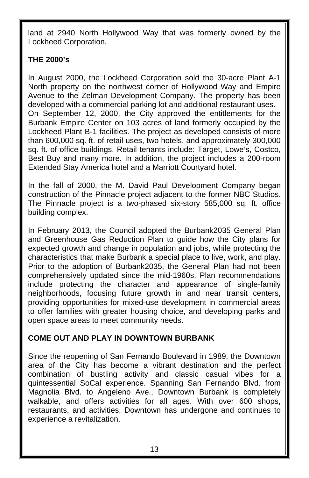land at 2940 North Hollywood Way that was formerly owned by the Lockheed Corporation.

#### **THE 2000's**

In August 2000, the Lockheed Corporation sold the 30-acre Plant A-1 North property on the northwest corner of Hollywood Way and Empire Avenue to the Zelman Development Company. The property has been developed with a commercial parking lot and additional restaurant uses. On September 12, 2000, the City approved the entitlements for the Burbank Empire Center on 103 acres of land formerly occupied by the Lockheed Plant B-1 facilities. The project as developed consists of more than 600,000 sq. ft. of retail uses, two hotels, and approximately 300,000 sq. ft. of office buildings. Retail tenants include: Target, Lowe's, Costco, Best Buy and many more. In addition, the project includes a 200-room Extended Stay America hotel and a Marriott Courtyard hotel.

In the fall of 2000, the M. David Paul Development Company began construction of the Pinnacle project adjacent to the former NBC Studios. The Pinnacle project is a two-phased six-story 585,000 sq. ft. office building complex.

In February 2013, the Council adopted the Burbank2035 General Plan and Greenhouse Gas Reduction Plan to guide how the City plans for expected growth and change in population and jobs, while protecting the characteristics that make Burbank a special place to live, work, and play. Prior to the adoption of Burbank2035, the General Plan had not been comprehensively updated since the mid-1960s. Plan recommendations include protecting the character and appearance of single-family neighborhoods, focusing future growth in and near transit centers, providing opportunities for mixed-use development in commercial areas to offer families with greater housing choice, and developing parks and open space areas to meet community needs.

#### **COME OUT AND PLAY IN DOWNTOWN BURBANK**

Since the reopening of San Fernando Boulevard in 1989, the Downtown area of the City has become a vibrant destination and the perfect combination of bustling activity and classic casual vibes for a quintessential SoCal experience. Spanning San Fernando Blvd. from Magnolia Blvd. to Angeleno Ave., Downtown Burbank is completely walkable, and offers activities for all ages. With over 600 shops, restaurants, and activities, Downtown has undergone and continues to experience a revitalization.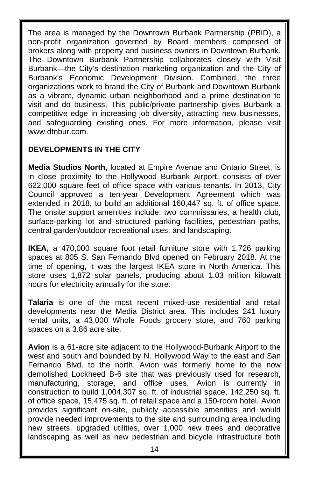The area is managed by the Downtown Burbank Partnership (PBID), a non-profit organization governed by Board members comprised of brokers along with property and business owners in Downtown Burbank. The Downtown Burbank Partnership collaborates closely with Visit Burbank—the City's destination marketing organization and the City of Burbank's Economic Development Division. Combined, the three organizations work to brand the City of Burbank and Downtown Burbank as a vibrant, dynamic urban neighborhood and a prime destination to visit and do business. This public/private partnership gives Burbank a competitive edge in increasing job diversity, attracting new businesses, and safeguarding existing ones. For more information, please visit www.dtnbur.com.

#### **DEVELOPMENTS IN THE CITY**

**Media Studios North**, located at Empire Avenue and Ontario Street, is in close proximity to the Hollywood Burbank Airport, consists of over 622,000 square feet of office space with various tenants. In 2013, City Council approved a ten-year Development Agreement which was extended in 2018, to build an additional 160,447 sq. ft. of office space. The onsite support amenities include: two commissaries, a health club, surface-parking lot and structured parking facilities, pedestrian paths, central garden/outdoor recreational uses, and landscaping.

**IKEA,** a 470,000 square foot retail furniture store with 1,726 parking spaces at 805 S. San Fernando Blvd opened on February 2018. At the time of opening, it was the largest IKEA store in North America. This store uses 1,872 solar panels, producing about 1.03 million kilowatt hours for electricity annually for the store.

**Talaria** is one of the most recent mixed-use residential and retail developments near the Media District area. This includes 241 luxury rental units, a 43,000 Whole Foods grocery store, and 760 parking spaces on a 3.86 acre site.

**Avion** is a 61-acre site adjacent to the Hollywood-Burbank Airport to the west and south and bounded by N. Hollywood Way to the east and San Fernando Blvd. to the north. Avion was formerly home to the now demolished Lockheed B-6 site that was previously used for research, manufacturing, storage, and office uses. Avion is currently in construction to build 1,004,307 sq. ft. of industrial space, 142,250 sq. ft. of office space, 15,475 sq. ft. of retail space and a 150-room hotel. Avion provides significant on-site, publicly accessible amenities and would provide needed improvements to the site and surrounding area including new streets, upgraded utilities, over 1,000 new trees and decorative landscaping as well as new pedestrian and bicycle infrastructure both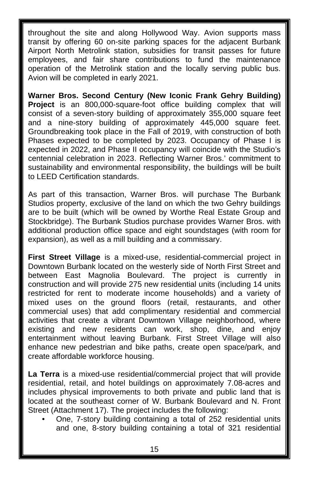throughout the site and along Hollywood Way. Avion supports mass transit by offering 60 on-site parking spaces for the adjacent Burbank Airport North Metrolink station, subsidies for transit passes for future employees, and fair share contributions to fund the maintenance operation of the Metrolink station and the locally serving public bus. Avion will be completed in early 2021.

**Warner Bros. Second Century (New Iconic Frank Gehry Building) Project** is an 800,000-square-foot office building complex that will consist of a seven-story building of approximately 355,000 square feet and a nine-story building of approximately 445,000 square feet. Groundbreaking took place in the Fall of 2019, with construction of both Phases expected to be completed by 2023. Occupancy of Phase I is expected in 2022, and Phase II occupancy will coincide with the Studio's centennial celebration in 2023. Reflecting Warner Bros.' commitment to sustainability and environmental responsibility, the buildings will be built to LEED Certification standards.

As part of this transaction, Warner Bros. will purchase The Burbank Studios property, exclusive of the land on which the two Gehry buildings are to be built (which will be owned by Worthe Real Estate Group and Stockbridge). The Burbank Studios purchase provides Warner Bros. with additional production office space and eight soundstages (with room for expansion), as well as a mill building and a commissary.

**First Street Village** is a mixed-use, residential-commercial project in Downtown Burbank located on the westerly side of North First Street and between East Magnolia Boulevard. The project is currently in construction and will provide 275 new residential units (including 14 units restricted for rent to moderate income households) and a variety of mixed uses on the ground floors (retail, restaurants, and other commercial uses) that add complimentary residential and commercial activities that create a vibrant Downtown Village neighborhood, where existing and new residents can work, shop, dine, and enjoy entertainment without leaving Burbank. First Street Village will also enhance new pedestrian and bike paths, create open space/park, and create affordable workforce housing.

**La Terra** is a mixed-use residential/commercial project that will provide residential, retail, and hotel buildings on approximately 7.08-acres and includes physical improvements to both private and public land that is located at the southeast corner of W. Burbank Boulevard and N. Front Street (Attachment 17). The project includes the following:

• One, 7-story building containing a total of 252 residential units and one, 8-story building containing a total of 321 residential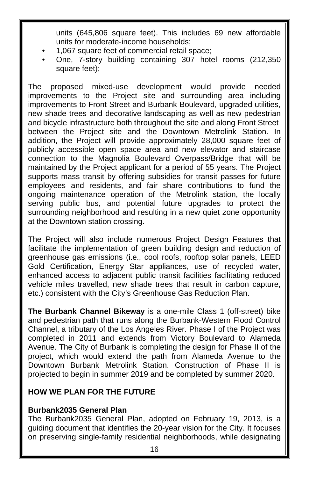units (645,806 square feet). This includes 69 new affordable units for moderate-income households;

- 1,067 square feet of commercial retail space;
- One, 7-story building containing 307 hotel rooms (212,350 square feet);

The proposed mixed-use development would provide needed improvements to the Project site and surrounding area including improvements to Front Street and Burbank Boulevard, upgraded utilities, new shade trees and decorative landscaping as well as new pedestrian and bicycle infrastructure both throughout the site and along Front Street between the Project site and the Downtown Metrolink Station. In addition, the Project will provide approximately 28,000 square feet of publicly accessible open space area and new elevator and staircase connection to the Magnolia Boulevard Overpass/Bridge that will be maintained by the Project applicant for a period of 55 years. The Project supports mass transit by offering subsidies for transit passes for future employees and residents, and fair share contributions to fund the ongoing maintenance operation of the Metrolink station, the locally serving public bus, and potential future upgrades to protect the surrounding neighborhood and resulting in a new quiet zone opportunity at the Downtown station crossing.

The Project will also include numerous Project Design Features that facilitate the implementation of green building design and reduction of greenhouse gas emissions (i.e., cool roofs, rooftop solar panels, LEED Gold Certification, Energy Star appliances, use of recycled water, enhanced access to adjacent public transit facilities facilitating reduced vehicle miles travelled, new shade trees that result in carbon capture, etc.) consistent with the City's Greenhouse Gas Reduction Plan.

**The Burbank Channel Bikeway** is a one-mile Class 1 (off-street) bike and pedestrian path that runs along the Burbank-Western Flood Control Channel, a tributary of the Los Angeles River. Phase I of the Project was completed in 2011 and extends from Victory Boulevard to Alameda Avenue. The City of Burbank is completing the design for Phase II of the project, which would extend the path from Alameda Avenue to the Downtown Burbank Metrolink Station. Construction of Phase II is projected to begin in summer 2019 and be completed by summer 2020.

#### **HOW WE PLAN FOR THE FUTURE**

#### **Burbank2035 General Plan**

The Burbank2035 General Plan, adopted on February 19, 2013, is a guiding document that identifies the 20-year vision for the City. It focuses on preserving single-family residential neighborhoods, while designating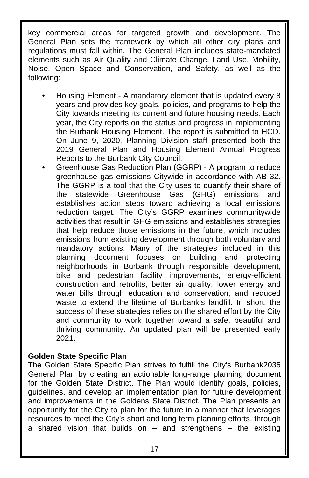key commercial areas for targeted growth and development. The General Plan sets the framework by which all other city plans and regulations must fall within. The General Plan includes state-mandated elements such as Air Quality and Climate Change, Land Use, Mobility, Noise, Open Space and Conservation, and Safety, as well as the following:

- Housing Element A mandatory element that is updated every 8 years and provides key goals, policies, and programs to help the City towards meeting its current and future housing needs. Each year, the City reports on the status and progress in implementing the Burbank Housing Element. The report is submitted to HCD. On June 9, 2020, Planning Division staff presented both the 2019 General Plan and Housing Element Annual Progress Reports to the Burbank City Council.
- Greenhouse Gas Reduction Plan (GGRP) A program to reduce greenhouse gas emissions Citywide in accordance with AB 32. The GGRP is a tool that the City uses to quantify their share of the statewide Greenhouse Gas (GHG) emissions and establishes action steps toward achieving a local emissions reduction target. The City's GGRP examines communitywide activities that result in GHG emissions and establishes strategies that help reduce those emissions in the future, which includes emissions from existing development through both voluntary and mandatory actions. Many of the strategies included in this planning document focuses on building and protecting neighborhoods in Burbank through responsible development, bike and pedestrian facility improvements, energy-efficient construction and retrofits, better air quality, lower energy and water bills through education and conservation, and reduced waste to extend the lifetime of Burbank's landfill. In short, the success of these strategies relies on the shared effort by the City and community to work together toward a safe, beautiful and thriving community. An updated plan will be presented early 2021.

#### **Golden State Specific Plan**

The Golden State Specific Plan strives to fulfill the City's Burbank2035 General Plan by creating an actionable long-range planning document for the Golden State District. The Plan would identify goals, policies, guidelines, and develop an implementation plan for future development and improvements in the Goldens State District. The Plan presents an opportunity for the City to plan for the future in a manner that leverages resources to meet the City's short and long term planning efforts, through a shared vision that builds on  $-$  and strengthens  $-$  the existing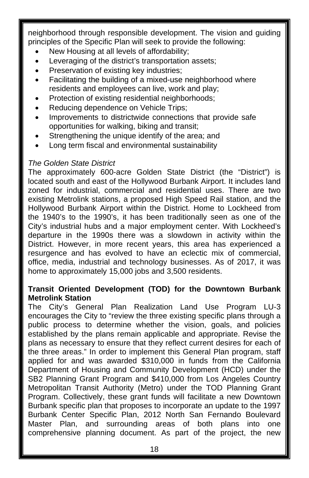neighborhood through responsible development. The vision and guiding principles of the Specific Plan will seek to provide the following:

- New Housing at all levels of affordability;
- Leveraging of the district's transportation assets;
- Preservation of existing key industries;
- Facilitating the building of a mixed-use neighborhood where residents and employees can live, work and play;
- Protection of existing residential neighborhoods;
- Reducing dependence on Vehicle Trips;
- Improvements to districtwide connections that provide safe opportunities for walking, biking and transit;
- Strengthening the unique identify of the area; and
- Long term fiscal and environmental sustainability

#### *The Golden State District*

The approximately 600-acre Golden State District (the "District") is located south and east of the Hollywood Burbank Airport. It includes land zoned for industrial, commercial and residential uses. There are two existing Metrolink stations, a proposed High Speed Rail station, and the Hollywood Burbank Airport within the District. Home to Lockheed from the 1940's to the 1990's, it has been traditionally seen as one of the City's industrial hubs and a major employment center. With Lockheed's departure in the 1990s there was a slowdown in activity within the District. However, in more recent years, this area has experienced a resurgence and has evolved to have an eclectic mix of commercial, office, media, industrial and technology businesses. As of 2017, it was home to approximately 15,000 jobs and 3,500 residents.

#### **Transit Oriented Development (TOD) for the Downtown Burbank Metrolink Station**

The City's General Plan Realization Land Use Program LU-3 encourages the City to "review the three existing specific plans through a public process to determine whether the vision, goals, and policies established by the plans remain applicable and appropriate. Revise the plans as necessary to ensure that they reflect current desires for each of the three areas." In order to implement this General Plan program, staff applied for and was awarded \$310,000 in funds from the California Department of Housing and Community Development (HCD) under the SB2 Planning Grant Program and \$410,000 from Los Angeles Country Metropolitan Transit Authority (Metro) under the TOD Planning Grant Program. Collectively, these grant funds will facilitate a new Downtown Burbank specific plan that proposes to incorporate an update to the 1997 Burbank Center Specific Plan, 2012 North San Fernando Boulevard Master Plan, and surrounding areas of both plans into one comprehensive planning document. As part of the project, the new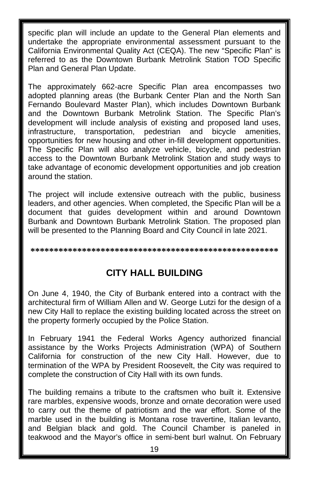specific plan will include an update to the General Plan elements and undertake the appropriate environmental assessment pursuant to the California Environmental Quality Act (CEQA). The new "Specific Plan" is referred to as the Downtown Burbank Metrolink Station TOD Specific Plan and General Plan Update.

The approximately 662-acre Specific Plan area encompasses two adopted planning areas (the Burbank Center Plan and the North San Fernando Boulevard Master Plan), which includes Downtown Burbank and the Downtown Burbank Metrolink Station. The Specific Plan's development will include analysis of existing and proposed land uses, infrastructure, transportation, pedestrian and bicycle amenities, opportunities for new housing and other in-fill development opportunities. The Specific Plan will also analyze vehicle, bicycle, and pedestrian access to the Downtown Burbank Metrolink Station and study ways to take advantage of economic development opportunities and job creation around the station.

The project will include extensive outreach with the public, business leaders, and other agencies. When completed, the Specific Plan will be a document that guides development within and around Downtown Burbank and Downtown Burbank Metrolink Station. The proposed plan will be presented to the Planning Board and City Council in late 2021.

**\*\*\*\*\*\*\*\*\*\*\*\*\*\*\*\*\*\*\*\*\*\*\*\*\*\*\*\*\*\*\*\*\*\*\*\*\*\*\*\*\*\*\*\*\*\*\*\*\*\*\*\*\***

### **CITY HALL BUILDING**

On June 4, 1940, the City of Burbank entered into a contract with the architectural firm of William Allen and W. George Lutzi for the design of a new City Hall to replace the existing building located across the street on the property formerly occupied by the Police Station.

In February 1941 the Federal Works Agency authorized financial assistance by the Works Projects Administration (WPA) of Southern California for construction of the new City Hall. However, due to termination of the WPA by President Roosevelt, the City was required to complete the construction of City Hall with its own funds.

The building remains a tribute to the craftsmen who built it. Extensive rare marbles, expensive woods, bronze and ornate decoration were used to carry out the theme of patriotism and the war effort. Some of the marble used in the building is Montana rose travertine, Italian levanto, and Belgian black and gold. The Council Chamber is paneled in teakwood and the Mayor's office in semi-bent burl walnut. On February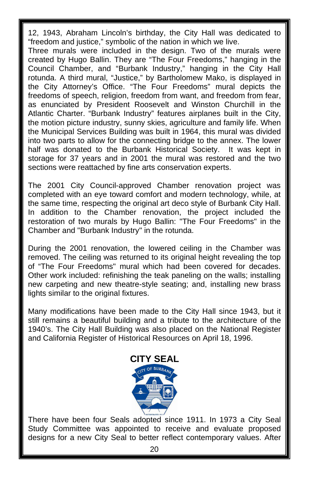12, 1943, Abraham Lincoln's birthday, the City Hall was dedicated to "freedom and justice," symbolic of the nation in which we live.

Three murals were included in the design. Two of the murals were created by Hugo Ballin. They are "The Four Freedoms," hanging in the Council Chamber, and "Burbank Industry," hanging in the City Hall rotunda. A third mural, "Justice," by Bartholomew Mako, is displayed in the City Attorney's Office. "The Four Freedoms" mural depicts the freedoms of speech, religion, freedom from want, and freedom from fear, as enunciated by President Roosevelt and Winston Churchill in the Atlantic Charter. "Burbank Industry" features airplanes built in the City, the motion picture industry, sunny skies, agriculture and family life. When the Municipal Services Building was built in 1964, this mural was divided into two parts to allow for the connecting bridge to the annex. The lower half was donated to the Burbank Historical Society. It was kept in storage for 37 years and in 2001 the mural was restored and the two sections were reattached by fine arts conservation experts.

The 2001 City Council-approved Chamber renovation project was completed with an eye toward comfort and modern technology, while, at the same time, respecting the original art deco style of Burbank City Hall. In addition to the Chamber renovation, the project included the restoration of two murals by Hugo Ballin: "The Four Freedoms" in the Chamber and "Burbank Industry" in the rotunda.

During the 2001 renovation, the lowered ceiling in the Chamber was removed. The ceiling was returned to its original height revealing the top of "The Four Freedoms" mural which had been covered for decades. Other work included: refinishing the teak paneling on the walls; installing new carpeting and new theatre-style seating; and, installing new brass lights similar to the original fixtures.

Many modifications have been made to the City Hall since 1943, but it still remains a beautiful building and a tribute to the architecture of the 1940's. The City Hall Building was also placed on the National Register and California Register of Historical Resources on April 18, 1996.



There have been four Seals adopted since 1911. In 1973 a City Seal Study Committee was appointed to receive and evaluate proposed designs for a new City Seal to better reflect contemporary values. After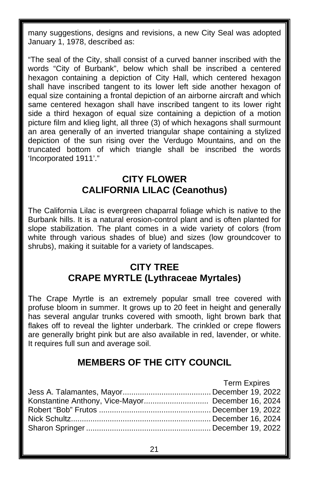many suggestions, designs and revisions, a new City Seal was adopted January 1, 1978, described as:

"The seal of the City, shall consist of a curved banner inscribed with the words "City of Burbank", below which shall be inscribed a centered hexagon containing a depiction of City Hall, which centered hexagon shall have inscribed tangent to its lower left side another hexagon of equal size containing a frontal depiction of an airborne aircraft and which same centered hexagon shall have inscribed tangent to its lower right side a third hexagon of equal size containing a depiction of a motion picture film and klieg light, all three (3) of which hexagons shall surmount an area generally of an inverted triangular shape containing a stylized depiction of the sun rising over the Verdugo Mountains, and on the truncated bottom of which triangle shall be inscribed the words 'Incorporated 1911'."

### **CITY FLOWER CALIFORNIA LILAC (Ceanothus)**

The California Lilac is evergreen chaparral foliage which is native to the Burbank hills. It is a natural erosion-control plant and is often planted for slope stabilization. The plant comes in a wide variety of colors (from white through various shades of blue) and sizes (low groundcover to shrubs), making it suitable for a variety of landscapes.

### **CITY TREE CRAPE MYRTLE (Lythraceae Myrtales)**

The Crape Myrtle is an extremely popular small tree covered with profuse bloom in summer. It grows up to 20 feet in height and generally has several angular trunks covered with smooth, light brown bark that flakes off to reveal the lighter underbark. The crinkled or crepe flowers are generally bright pink but are also available in red, lavender, or white. It requires full sun and average soil.

### **MEMBERS OF THE CITY COUNCIL**

| Term Expires |
|--------------|
|              |
|              |
|              |
|              |
|              |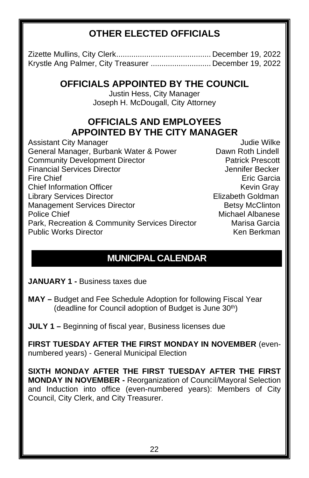### **OTHER ELECTED OFFICIALS**

| Krystle Ang Palmer, City Treasurer December 19, 2022 |  |  |
|------------------------------------------------------|--|--|

### **OFFICIALS APPOINTED BY THE COUNCIL**

Justin Hess, City Manager Joseph H. McDougall, City Attorney

### **OFFICIALS AND EMPLOYEES APPOINTED BY THE CITY MANAGER**

Assistant City Manager **Judie Wilke** Assistant City Manager General Manager, Burbank Water & Power Dawn Roth Lindell<br>Community Development Director Patrick Prescott Community Development Director **Patrick Prescott**<br>Financial Services Director **Patrick Prescott** Prescott Prescott Financial Services Director Fire Chief Eric Garcia **Chief Information Officer Chief Information Officer Chief Information Chief Information Chief Information Chief** Library Services Director Elizabeth Goldman Management Services Director **Betsy McClinton**<br>Police Chief **Betsy McClinton** Park, Recreation & Community Services Director Public Works Director **Ken Berkman** 

Michael Albanese<br>Marisa Garcia

### **MUNICIPAL CALENDAR**

**JANUARY 1 -** Business taxes due

**MAY –** Budget and Fee Schedule Adoption for following Fiscal Year (deadline for Council adoption of Budget is June 30<sup>th</sup>)

**JULY 1 –** Beginning of fiscal year, Business licenses due

**FIRST TUESDAY AFTER THE FIRST MONDAY IN NOVEMBER** (evennumbered years) - General Municipal Election

**SIXTH MONDAY AFTER THE FIRST TUESDAY AFTER THE FIRST MONDAY IN NOVEMBER -** Reorganization of Council/Mayoral Selection and Induction into office (even-numbered years): Members of City Council, City Clerk, and City Treasurer.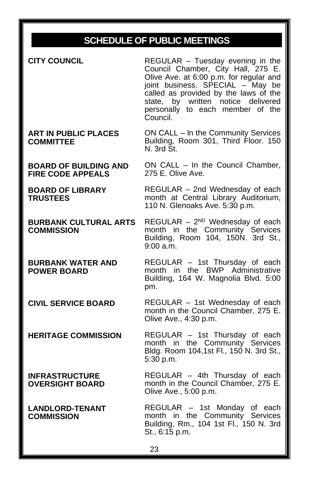### **SCHEDULE OF PUBLIC MEETINGS**

| <b>CITY COUNCIL</b>                                      | REGULAR - Tuesday evening in the<br>Council Chamber, City Hall, 275 E.<br>Olive Ave. at 6:00 p.m. for regular and<br>joint business. SPECIAL - May be<br>called as provided by the laws of the<br>by written notice delivered<br>state,<br>personally to each member of the<br>Council. |
|----------------------------------------------------------|-----------------------------------------------------------------------------------------------------------------------------------------------------------------------------------------------------------------------------------------------------------------------------------------|
| <b>ART IN PUBLIC PLACES</b><br><b>COMMITTEE</b>          | ON CALL - In the Community Services<br>Building, Room 301, Third Floor. 150<br>N. 3rd St.                                                                                                                                                                                               |
| <b>BOARD OF BUILDING AND</b><br><b>FIRE CODE APPEALS</b> | ON CALL - In the Council Chamber,<br>275 E. Olive Ave.                                                                                                                                                                                                                                  |
| <b>BOARD OF LIBRARY</b><br><b>TRUSTEES</b>               | REGULAR - 2nd Wednesday of each<br>month at Central Library Auditorium,<br>110 N. Glenoaks Ave. 5:30 p.m.                                                                                                                                                                               |
| <b>BURBANK CULTURAL ARTS</b><br><b>COMMISSION</b>        | REGULAR - 2ND Wednesday of each<br>month in the Community Services<br>Building, Room 104, 150N. 3rd St.,<br>9:00a.m.                                                                                                                                                                    |
| <b>BURBANK WATER AND</b><br><b>POWER BOARD</b>           | REGULAR - 1st Thursday of each<br>month in the BWP Administrative<br>Building, 164 W. Magnolia Blvd. 5:00<br>pm.                                                                                                                                                                        |
| <b>CIVIL SERVICE BOARD</b>                               | REGULAR - 1st Wednesday of each<br>month in the Council Chamber, 275 E.<br>Olive Ave., 4:30 p.m.                                                                                                                                                                                        |
| <b>HERITAGE COMMISSION</b>                               | REGULAR - 1st Thursday of each<br>month in the Community Services<br>Bldg. Room 104,1st Fl., 150 N. 3rd St.,<br>$5:30$ p.m.                                                                                                                                                             |
| <b>INFRASTRUCTURE</b><br><b>OVERSIGHT BOARD</b>          | REGULAR - 4th Thursday of each<br>month in the Council Chamber, 275 E.<br>Olive Ave., 5:00 p.m.                                                                                                                                                                                         |
| <b>LANDLORD-TENANT</b><br><b>COMMISSION</b>              | REGULAR - 1st Monday of each<br>month in the Community Services<br>Building, Rm., 104 1st Fl., 150 N. 3rd<br>St., 6:15 p.m.                                                                                                                                                             |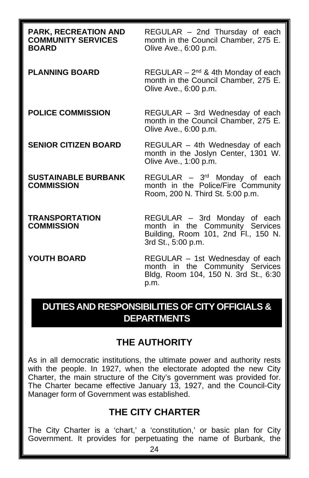**PARK, RECREATION AND COMMUNITY SERVICES BOARD PLANNING BOARD POLICE COMMISSION SENIOR CITIZEN BOARD SUSTAINABLE BURBANK COMMISSION TRANSPORTATION COMMISSION YOUTH BOARD** REGULAR – 2nd Thursday of each month in the Council Chamber, 275 E. Olive Ave., 6:00 p.m. REGULAR  $-2^{nd}$  & 4th Monday of each month in the Council Chamber, 275 E. Olive Ave., 6:00 p.m. REGULAR – 3rd Wednesday of each month in the Council Chamber, 275 E. Olive Ave., 6:00 p.m. REGULAR – 4th Wednesday of each month in the Joslyn Center, 1301 W. Olive Ave., 1:00 p.m. REGULAR – 3rd Monday of each month in the Police/Fire Community Room, 200 N. Third St. 5:00 p.m. REGULAR – 3rd Monday of each month in the Community Services Building, Room 101, 2nd Fl., 150 N. 3rd St., 5:00 p.m. REGULAR – 1st Wednesday of each month in the Community Services Bldg, Room 104, 150 N. 3rd St., 6:30

### **DUTIES AND RESPONSIBILITIES OF CITY OFFICIALS & DEPARTMENTS**

p.m.

### **THE AUTHORITY**

As in all democratic institutions, the ultimate power and authority rests with the people. In 1927, when the electorate adopted the new City Charter, the main structure of the City's government was provided for. The Charter became effective January 13, 1927, and the Council-City Manager form of Government was established.

### **THE CITY CHARTER**

The City Charter is a 'chart,' a 'constitution,' or basic plan for City Government. It provides for perpetuating the name of Burbank, the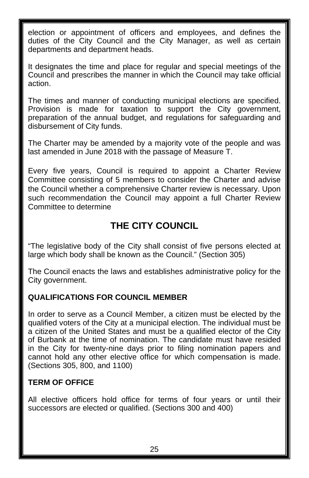election or appointment of officers and employees, and defines the duties of the City Council and the City Manager, as well as certain departments and department heads.

It designates the time and place for regular and special meetings of the Council and prescribes the manner in which the Council may take official action.

The times and manner of conducting municipal elections are specified. Provision is made for taxation to support the City government, preparation of the annual budget, and regulations for safeguarding and disbursement of City funds.

The Charter may be amended by a majority vote of the people and was last amended in June 2018 with the passage of Measure T.

Every five years, Council is required to appoint a Charter Review Committee consisting of 5 members to consider the Charter and advise the Council whether a comprehensive Charter review is necessary. Upon such recommendation the Council may appoint a full Charter Review Committee to determine

### **THE CITY COUNCIL**

"The legislative body of the City shall consist of five persons elected at large which body shall be known as the Council." (Section 305)

The Council enacts the laws and establishes administrative policy for the City government.

#### **QUALIFICATIONS FOR COUNCIL MEMBER**

In order to serve as a Council Member, a citizen must be elected by the qualified voters of the City at a municipal election. The individual must be a citizen of the United States and must be a qualified elector of the City of Burbank at the time of nomination. The candidate must have resided in the City for twenty-nine days prior to filing nomination papers and cannot hold any other elective office for which compensation is made. (Sections 305, 800, and 1100)

#### **TERM OF OFFICE**

All elective officers hold office for terms of four years or until their successors are elected or qualified. (Sections 300 and 400)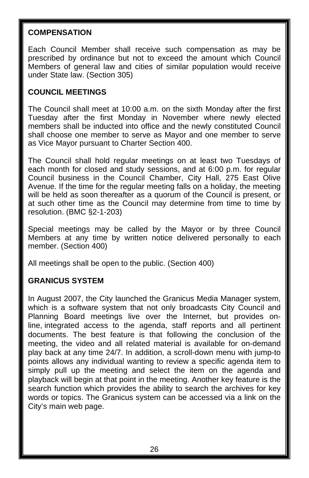#### **COMPENSATION**

Each Council Member shall receive such compensation as may be prescribed by ordinance but not to exceed the amount which Council Members of general law and cities of similar population would receive under State law. (Section 305)

#### **COUNCIL MEETINGS**

The Council shall meet at 10:00 a.m. on the sixth Monday after the first Tuesday after the first Monday in November where newly elected members shall be inducted into office and the newly constituted Council shall choose one member to serve as Mayor and one member to serve as Vice Mayor pursuant to Charter Section 400.

The Council shall hold regular meetings on at least two Tuesdays of each month for closed and study sessions, and at 6:00 p.m. for regular Council business in the Council Chamber, City Hall, 275 East Olive Avenue. If the time for the regular meeting falls on a holiday, the meeting will be held as soon thereafter as a quorum of the Council is present, or at such other time as the Council may determine from time to time by resolution. (BMC §2-1-203)

Special meetings may be called by the Mayor or by three Council Members at any time by written notice delivered personally to each member. (Section 400)

All meetings shall be open to the public. (Section 400)

#### **GRANICUS SYSTEM**

In August 2007, the City launched the Granicus Media Manager system, which is a software system that not only broadcasts City Council and Planning Board meetings live over the Internet, but provides online, integrated access to the agenda, staff reports and all pertinent documents. The best feature is that following the conclusion of the meeting, the video and all related material is available for on-demand play back at any time 24/7. In addition, a scroll-down menu with jump-to points allows any individual wanting to review a specific agenda item to simply pull up the meeting and select the item on the agenda and playback will begin at that point in the meeting. Another key feature is the search function which provides the ability to search the archives for key words or topics. The Granicus system can be accessed via a link on the City's main web page.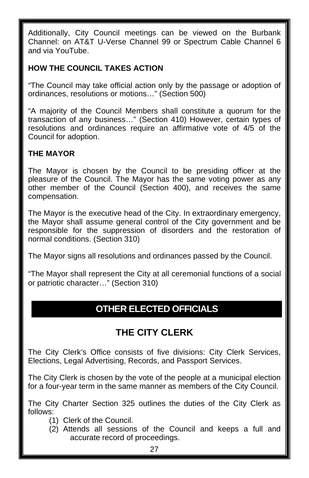Additionally, City Council meetings can be viewed on the Burbank Channel: on AT&T U-Verse Channel 99 or Spectrum Cable Channel 6 and via YouTube.

### **HOW THE COUNCIL TAKES ACTION**

"The Council may take official action only by the passage or adoption of ordinances, resolutions or motions…" (Section 500)

"A majority of the Council Members shall constitute a quorum for the transaction of any business…" (Section 410) However, certain types of resolutions and ordinances require an affirmative vote of 4/5 of the Council for adoption.

#### **THE MAYOR**

The Mayor is chosen by the Council to be presiding officer at the pleasure of the Council. The Mayor has the same voting power as any other member of the Council (Section 400), and receives the same compensation.

The Mayor is the executive head of the City. In extraordinary emergency, the Mayor shall assume general control of the City government and be responsible for the suppression of disorders and the restoration of normal conditions. (Section 310)

The Mayor signs all resolutions and ordinances passed by the Council.

"The Mayor shall represent the City at all ceremonial functions of a social or patriotic character…" (Section 310)

### **OTHER ELECTED OFFICIALS**

### **THE CITY CLERK**

The City Clerk's Office consists of five divisions: City Clerk Services, Elections, Legal Advertising, Records, and Passport Services.

The City Clerk is chosen by the vote of the people at a municipal election for a four-year term in the same manner as members of the City Council.

The City Charter Section 325 outlines the duties of the City Clerk as follows:

- (1) Clerk of the Council.
- (2) Attends all sessions of the Council and keeps a full and accurate record of proceedings.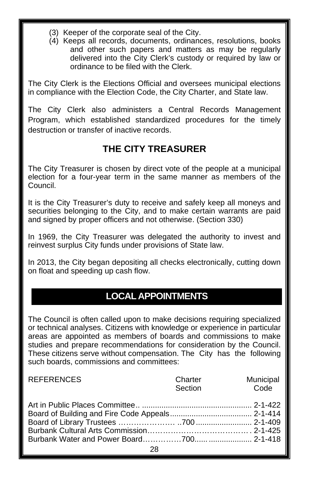- (3) Keeper of the corporate seal of the City.
- (4) Keeps all records, documents, ordinances, resolutions, books and other such papers and matters as may be regularly delivered into the City Clerk's custody or required by law or ordinance to be filed with the Clerk.

The City Clerk is the Elections Official and oversees municipal elections in compliance with the Election Code, the City Charter, and State law.

The City Clerk also administers a Central Records Management Program, which established standardized procedures for the timely destruction or transfer of inactive records.

### **THE CITY TREASURER**

The City Treasurer is chosen by direct vote of the people at a municipal election for a four-year term in the same manner as members of the Council.

It is the City Treasurer's duty to receive and safely keep all moneys and securities belonging to the City, and to make certain warrants are paid and signed by proper officers and not otherwise. (Section 330)

In 1969, the City Treasurer was delegated the authority to invest and reinvest surplus City funds under provisions of State law.

In 2013, the City began depositing all checks electronically, cutting down on float and speeding up cash flow.

### **LOCAL APPOINTMENTS**

The Council is often called upon to make decisions requiring specialized or technical analyses. Citizens with knowledge or experience in particular areas are appointed as members of boards and commissions to make studies and prepare recommendations for consideration by the Council. These citizens serve without compensation. The City has the following such boards, commissions and committees:

| <b>REFERENCES</b> | Charter | Municipal |
|-------------------|---------|-----------|
|                   | Section | Code      |
|                   |         |           |
|                   |         |           |
|                   |         |           |
|                   |         |           |
|                   |         |           |
|                   |         |           |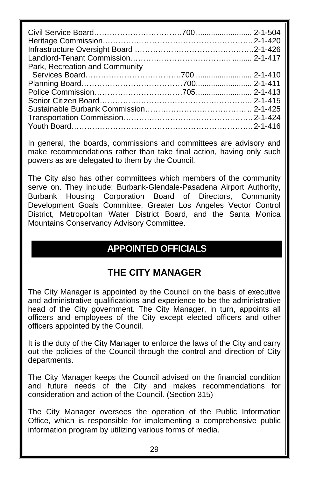| Park, Recreation and Community |  |
|--------------------------------|--|
|                                |  |
|                                |  |
|                                |  |
|                                |  |
|                                |  |
|                                |  |
|                                |  |

In general, the boards, commissions and committees are advisory and make recommendations rather than take final action, having only such powers as are delegated to them by the Council.

The City also has other committees which members of the community serve on. They include: Burbank-Glendale-Pasadena Airport Authority, Burbank Housing Corporation Board of Directors, Community Development Goals Committee, Greater Los Angeles Vector Control District, Metropolitan Water District Board, and the Santa Monica Mountains Conservancy Advisory Committee.

### **APPOINTED OFFICIALS**

### **THE CITY MANAGER**

The City Manager is appointed by the Council on the basis of executive and administrative qualifications and experience to be the administrative head of the City government. The City Manager, in turn, appoints all officers and employees of the City except elected officers and other officers appointed by the Council.

It is the duty of the City Manager to enforce the laws of the City and carry out the policies of the Council through the control and direction of City departments.

The City Manager keeps the Council advised on the financial condition and future needs of the City and makes recommendations for consideration and action of the Council. (Section 315)

The City Manager oversees the operation of the Public Information Office, which is responsible for implementing a comprehensive public information program by utilizing various forms of media.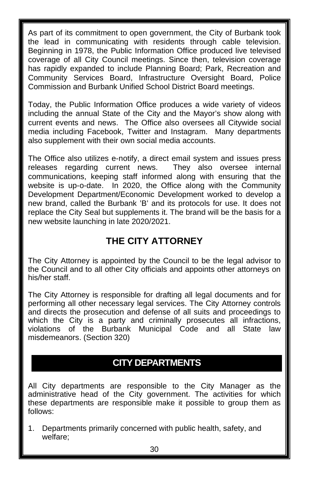As part of its commitment to open government, the City of Burbank took the lead in communicating with residents through cable television. Beginning in 1978, the Public Information Office produced live televised coverage of all City Council meetings. Since then, television coverage has rapidly expanded to include Planning Board; Park, Recreation and Community Services Board, Infrastructure Oversight Board, Police Commission and Burbank Unified School District Board meetings.

Today, the Public Information Office produces a wide variety of videos including the annual State of the City and the Mayor's show along with current events and news. The Office also oversees all Citywide social media including Facebook, Twitter and Instagram. Many departments also supplement with their own social media accounts.

The Office also utilizes e-notify, a direct email system and issues press releases regarding current news. They also oversee internal communications, keeping staff informed along with ensuring that the website is up-o-date. In 2020, the Office along with the Community Development Department/Economic Development worked to develop a new brand, called the Burbank 'B' and its protocols for use. It does not replace the City Seal but supplements it. The brand will be the basis for a new website launching in late 2020/2021.

### **THE CITY ATTORNEY**

The City Attorney is appointed by the Council to be the legal advisor to the Council and to all other City officials and appoints other attorneys on his/her staff.

The City Attorney is responsible for drafting all legal documents and for performing all other necessary legal services. The City Attorney controls and directs the prosecution and defense of all suits and proceedings to which the City is a party and criminally prosecutes all infractions, violations of the Burbank Municipal Code and all State law misdemeanors. (Section 320)

### **CITY DEPARTMENTS**

All City departments are responsible to the City Manager as the administrative head of the City government. The activities for which these departments are responsible make it possible to group them as follows:

1. Departments primarily concerned with public health, safety, and welfare;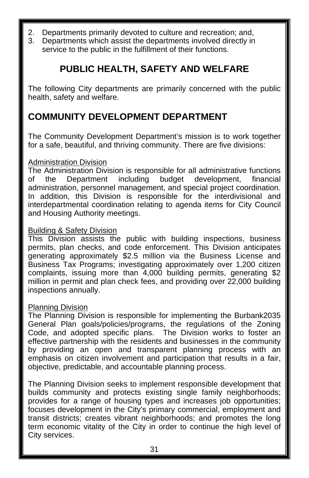- 2. Departments primarily devoted to culture and recreation; and,
- Departments which assist the departments involved directly in service to the public in the fulfillment of their functions.

### **PUBLIC HEALTH, SAFETY AND WELFARE**

The following City departments are primarily concerned with the public health, safety and welfare.

### **COMMUNITY DEVELOPMENT DEPARTMENT**

The Community Development Department's mission is to work together for a safe, beautiful, and thriving community. There are five divisions:

#### Administration Division

The Administration Division is responsible for all administrative functions<br>of the Department including budget development, financial of the Department including budget development, administration, personnel management, and special project coordination. In addition, this Division is responsible for the interdivisional and interdepartmental coordination relating to agenda items for City Council and Housing Authority meetings.

#### Building & Safety Division

This Division assists the public with building inspections, business permits, plan checks, and code enforcement. This Division anticipates generating approximately \$2.5 million via the Business License and Business Tax Programs; investigating approximately over 1,200 citizen complaints, issuing more than 4,000 building permits, generating \$2 million in permit and plan check fees, and providing over 22,000 building inspections annually.

#### Planning Division

The Planning Division is responsible for implementing the Burbank2035 General Plan goals/policies/programs, the regulations of the Zoning Code, and adopted specific plans. The Division works to foster an effective partnership with the residents and businesses in the community by providing an open and transparent planning process with an emphasis on citizen involvement and participation that results in a fair, objective, predictable, and accountable planning process.

The Planning Division seeks to implement responsible development that builds community and protects existing single family neighborhoods; provides for a range of housing types and increases job opportunities; focuses development in the City's primary commercial, employment and transit districts; creates vibrant neighborhoods; and promotes the long term economic vitality of the City in order to continue the high level of City services.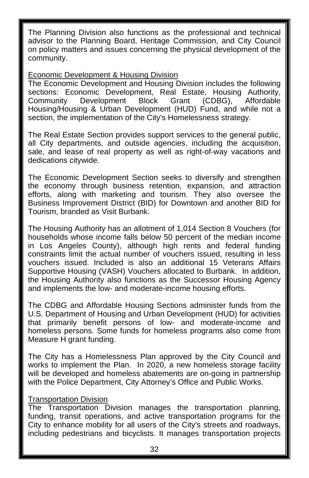The Planning Division also functions as the professional and technical advisor to the Planning Board, Heritage Commission, and City Council on policy matters and issues concerning the physical development of the community.

#### Economic Development & Housing Division

The Economic Development and Housing Division includes the following sections: Economic Development, Real Estate, Housing Authority, Community Development Block Grant (CDBG), Affordable Housing/Housing & Urban Development (HUD) Fund, and while not a section, the implementation of the City's Homelessness strategy.

The Real Estate Section provides support services to the general public, all City departments, and outside agencies, including the acquisition, sale, and lease of real property as well as right-of-way vacations and dedications citywide.

The Economic Development Section seeks to diversify and strengthen the economy through business retention, expansion, and attraction efforts, along with marketing and tourism. They also oversee the Business Improvement District (BID) for Downtown and another BID for Tourism, branded as Visit Burbank.

The Housing Authority has an allotment of 1,014 Section 8 Vouchers (for households whose income falls below 50 percent of the median income in Los Angeles County), although high rents and federal funding constraints limit the actual number of vouchers issued, resulting in less vouchers issued. Included is also an additional 15 Veterans Affairs Supportive Housing (VASH) Vouchers allocated to Burbank. In addition, the Housing Authority also functions as the Successor Housing Agency and implements the low- and moderate-income housing efforts.

The CDBG and Affordable Housing Sections administer funds from the U.S. Department of Housing and Urban Development (HUD) for activities that primarily benefit persons of low- and moderate-income and homeless persons. Some funds for homeless programs also come from Measure H grant funding.

The City has a Homelessness Plan approved by the City Council and works to implement the Plan. In 2020, a new homeless storage facility will be developed and homeless abatements are on-going in partnership with the Police Department, City Attorney's Office and Public Works.

#### Transportation Division

The Transportation Division manages the transportation planning, funding, transit operations, and active transportation programs for the City to enhance mobility for all users of the City's streets and roadways, including pedestrians and bicyclists. It manages transportation projects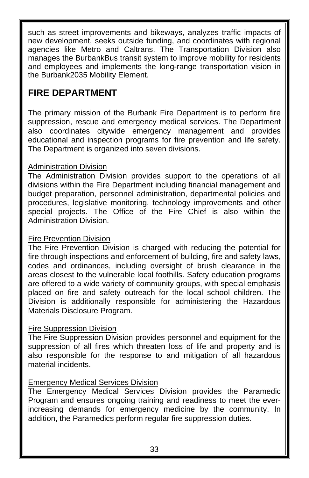such as street improvements and bikeways, analyzes traffic impacts of new development, seeks outside funding, and coordinates with regional agencies like Metro and Caltrans. The Transportation Division also manages the BurbankBus transit system to improve mobility for residents and employees and implements the long-range transportation vision in the Burbank2035 Mobility Element.

### **FIRE DEPARTMENT**

The primary mission of the Burbank Fire Department is to perform fire suppression, rescue and emergency medical services. The Department also coordinates citywide emergency management and provides educational and inspection programs for fire prevention and life safety. The Department is organized into seven divisions.

#### Administration Division

The Administration Division provides support to the operations of all divisions within the Fire Department including financial management and budget preparation, personnel administration, departmental policies and procedures, legislative monitoring, technology improvements and other special projects. The Office of the Fire Chief is also within the Administration Division.

#### Fire Prevention Division

The Fire Prevention Division is charged with reducing the potential for fire through inspections and enforcement of building, fire and safety laws, codes and ordinances, including oversight of brush clearance in the areas closest to the vulnerable local foothills. Safety education programs are offered to a wide variety of community groups, with special emphasis placed on fire and safety outreach for the local school children. The Division is additionally responsible for administering the Hazardous Materials Disclosure Program.

#### Fire Suppression Division

The Fire Suppression Division provides personnel and equipment for the suppression of all fires which threaten loss of life and property and is also responsible for the response to and mitigation of all hazardous material incidents.

#### Emergency Medical Services Division

The Emergency Medical Services Division provides the Paramedic Program and ensures ongoing training and readiness to meet the everincreasing demands for emergency medicine by the community. In addition, the Paramedics perform regular fire suppression duties.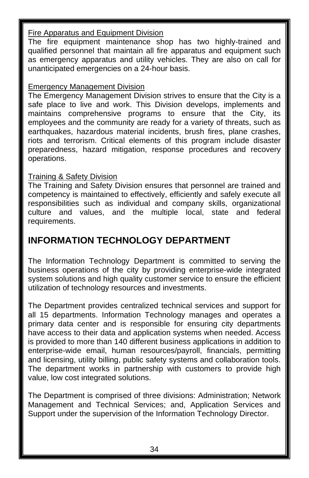#### Fire Apparatus and Equipment Division

The fire equipment maintenance shop has two highly-trained and qualified personnel that maintain all fire apparatus and equipment such as emergency apparatus and utility vehicles. They are also on call for unanticipated emergencies on a 24-hour basis.

#### Emergency Management Division

The Emergency Management Division strives to ensure that the City is a safe place to live and work. This Division develops, implements and maintains comprehensive programs to ensure that the City, its employees and the community are ready for a variety of threats, such as earthquakes, hazardous material incidents, brush fires, plane crashes, riots and terrorism. Critical elements of this program include disaster preparedness, hazard mitigation, response procedures and recovery operations.

#### Training & Safety Division

The Training and Safety Division ensures that personnel are trained and competency is maintained to effectively, efficiently and safely execute all responsibilities such as individual and company skills, organizational culture and values, and the multiple local, state and federal requirements.

### **INFORMATION TECHNOLOGY DEPARTMENT**

The Information Technology Department is committed to serving the business operations of the city by providing enterprise-wide integrated system solutions and high quality customer service to ensure the efficient utilization of technology resources and investments.

The Department provides centralized technical services and support for all 15 departments. Information Technology manages and operates a primary data center and is responsible for ensuring city departments have access to their data and application systems when needed. Access is provided to more than 140 different business applications in addition to enterprise-wide email, human resources/payroll, financials, permitting and licensing, utility billing, public safety systems and collaboration tools. The department works in partnership with customers to provide high value, low cost integrated solutions.

The Department is comprised of three divisions: Administration; Network Management and Technical Services; and, Application Services and Support under the supervision of the Information Technology Director.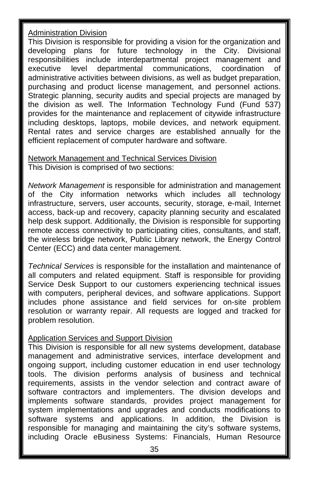#### Administration Division

This Division is responsible for providing a vision for the organization and developing plans for future technology in the City. Divisional responsibilities include interdepartmental project management and executive level departmental communications, coordination of administrative activities between divisions, as well as budget preparation, purchasing and product license management, and personnel actions. Strategic planning, security audits and special projects are managed by the division as well. The Information Technology Fund (Fund 537) provides for the maintenance and replacement of citywide infrastructure including desktops, laptops, mobile devices, and network equipment. Rental rates and service charges are established annually for the efficient replacement of computer hardware and software.

#### Network Management and Technical Services Division This Division is comprised of two sections:

*Network Management* is responsible for administration and management of the City information networks which includes all technology infrastructure, servers, user accounts, security, storage, e-mail, Internet access, back-up and recovery, capacity planning security and escalated help desk support. Additionally, the Division is responsible for supporting remote access connectivity to participating cities, consultants, and staff, the wireless bridge network, Public Library network, the Energy Control Center (ECC) and data center management.

*Technical Services* is responsible for the installation and maintenance of all computers and related equipment. Staff is responsible for providing Service Desk Support to our customers experiencing technical issues with computers, peripheral devices, and software applications. Support includes phone assistance and field services for on-site problem resolution or warranty repair. All requests are logged and tracked for problem resolution.

#### Application Services and Support Division

This Division is responsible for all new systems development, database management and administrative services, interface development and ongoing support, including customer education in end user technology tools. The division performs analysis of business and technical requirements, assists in the vendor selection and contract aware of software contractors and implementers. The division develops and implements software standards, provides project management for system implementations and upgrades and conducts modifications to software systems and applications. In addition, the Division is responsible for managing and maintaining the city's software systems, including Oracle eBusiness Systems: Financials, Human Resource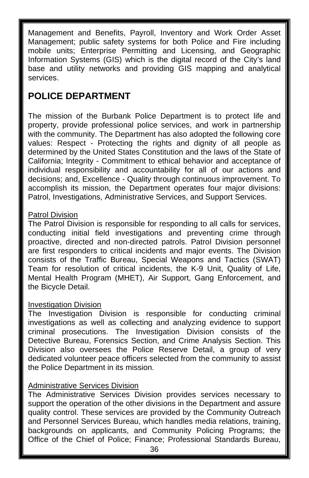Management and Benefits, Payroll, Inventory and Work Order Asset Management; public safety systems for both Police and Fire including mobile units; Enterprise Permitting and Licensing, and Geographic Information Systems (GIS) which is the digital record of the City's land base and utility networks and providing GIS mapping and analytical services.

### **POLICE DEPARTMENT**

The mission of the Burbank Police Department is to protect life and property, provide professional police services, and work in partnership with the community. The Department has also adopted the following core values: Respect - Protecting the rights and dignity of all people as determined by the United States Constitution and the laws of the State of California; Integrity - Commitment to ethical behavior and acceptance of individual responsibility and accountability for all of our actions and decisions; and, Excellence - Quality through continuous improvement. To accomplish its mission, the Department operates four major divisions: Patrol, Investigations, Administrative Services, and Support Services.

#### Patrol Division

The Patrol Division is responsible for responding to all calls for services, conducting initial field investigations and preventing crime through proactive, directed and non-directed patrols. Patrol Division personnel are first responders to critical incidents and major events. The Division consists of the Traffic Bureau, Special Weapons and Tactics (SWAT) Team for resolution of critical incidents, the K-9 Unit, Quality of Life, Mental Health Program (MHET), Air Support, Gang Enforcement, and the Bicycle Detail.

#### Investigation Division

The Investigation Division is responsible for conducting criminal investigations as well as collecting and analyzing evidence to support criminal prosecutions. The Investigation Division consists of the Detective Bureau, Forensics Section, and Crime Analysis Section. This Division also oversees the Police Reserve Detail, a group of very dedicated volunteer peace officers selected from the community to assist the Police Department in its mission.

#### Administrative Services Division

The Administrative Services Division provides services necessary to support the operation of the other divisions in the Department and assure quality control. These services are provided by the Community Outreach and Personnel Services Bureau, which handles media relations, training, backgrounds on applicants, and Community Policing Programs; the Office of the Chief of Police; Finance; Professional Standards Bureau,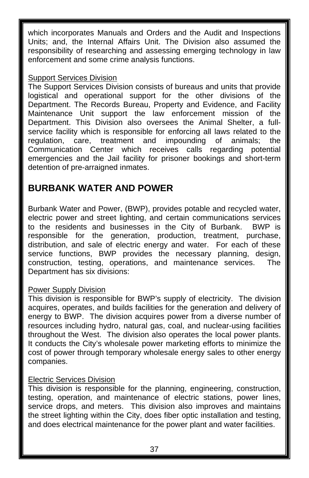which incorporates Manuals and Orders and the Audit and Inspections Units; and, the Internal Affairs Unit. The Division also assumed the responsibility of researching and assessing emerging technology in law enforcement and some crime analysis functions.

#### Support Services Division

The Support Services Division consists of bureaus and units that provide logistical and operational support for the other divisions of the Department. The Records Bureau, Property and Evidence, and Facility Maintenance Unit support the law enforcement mission of the Department. This Division also oversees the Animal Shelter, a fullservice facility which is responsible for enforcing all laws related to the regulation, care, treatment and impounding of animals; the Communication Center which receives calls regarding potential emergencies and the Jail facility for prisoner bookings and short-term detention of pre-arraigned inmates.

### **BURBANK WATER AND POWER**

Burbank Water and Power, (BWP), provides potable and recycled water, electric power and street lighting, and certain communications services to the residents and businesses in the City of Burbank. BWP is responsible for the generation, production, treatment, purchase, distribution, and sale of electric energy and water. For each of these service functions, BWP provides the necessary planning, design, construction, testing, operations, and maintenance services. The Department has six divisions:

#### Power Supply Division

This division is responsible for BWP's supply of electricity. The division acquires, operates, and builds facilities for the generation and delivery of energy to BWP. The division acquires power from a diverse number of resources including hydro, natural gas, coal, and nuclear-using facilities throughout the West. The division also operates the local power plants. It conducts the City's wholesale power marketing efforts to minimize the cost of power through temporary wholesale energy sales to other energy companies.

#### Electric Services Division

This division is responsible for the planning, engineering, construction, testing, operation, and maintenance of electric stations, power lines, service drops, and meters. This division also improves and maintains the street lighting within the City, does fiber optic installation and testing, and does electrical maintenance for the power plant and water facilities.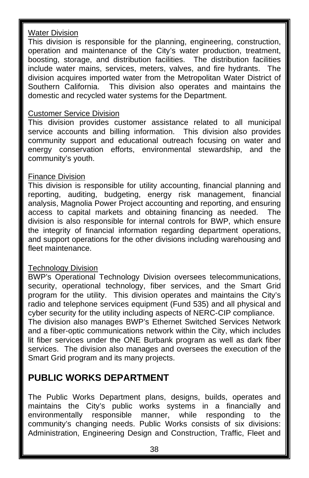#### Water Division

This division is responsible for the planning, engineering, construction, operation and maintenance of the City's water production, treatment, boosting, storage, and distribution facilities. The distribution facilities include water mains, services, meters, valves, and fire hydrants. The division acquires imported water from the Metropolitan Water District of Southern California. This division also operates and maintains the domestic and recycled water systems for the Department.

#### Customer Service Division

This division provides customer assistance related to all municipal service accounts and billing information. This division also provides community support and educational outreach focusing on water and energy conservation efforts, environmental stewardship, and the community's youth.

#### Finance Division

This division is responsible for utility accounting, financial planning and reporting, auditing, budgeting, energy risk management, financial analysis, Magnolia Power Project accounting and reporting, and ensuring access to capital markets and obtaining financing as needed. The division is also responsible for internal controls for BWP, which ensure the integrity of financial information regarding department operations, and support operations for the other divisions including warehousing and fleet maintenance.

#### Technology Division

BWP's Operational Technology Division oversees telecommunications, security, operational technology, fiber services, and the Smart Grid program for the utility. This division operates and maintains the City's radio and telephone services equipment (Fund 535) and all physical and cyber security for the utility including aspects of NERC-CIP compliance. The division also manages BWP's Ethernet Switched Services Network and a fiber-optic communications network within the City, which includes lit fiber services under the ONE Burbank program as well as dark fiber services. The division also manages and oversees the execution of the

### **PUBLIC WORKS DEPARTMENT**

Smart Grid program and its many projects.

The Public Works Department plans, designs, builds, operates and maintains the City's public works systems in a financially and environmentally responsible manner, while responding to the community's changing needs. Public Works consists of six divisions: Administration, Engineering Design and Construction, Traffic, Fleet and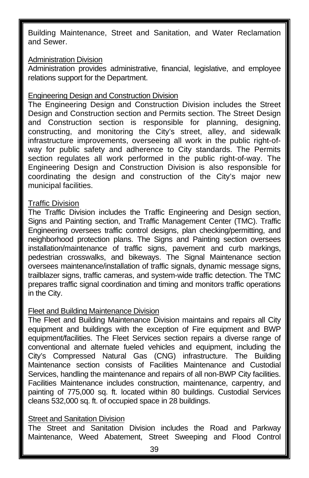Building Maintenance, Street and Sanitation, and Water Reclamation and Sewer.

#### Administration Division

Administration provides administrative, financial, legislative, and employee relations support for the Department.

#### Engineering Design and Construction Division

The Engineering Design and Construction Division includes the Street Design and Construction section and Permits section. The Street Design and Construction section is responsible for planning, designing, constructing, and monitoring the City's street, alley, and sidewalk infrastructure improvements, overseeing all work in the public right-ofway for public safety and adherence to City standards. The Permits section regulates all work performed in the public right-of-way. The Engineering Design and Construction Division is also responsible for coordinating the design and construction of the City's major new municipal facilities.

#### Traffic Division

The Traffic Division includes the Traffic Engineering and Design section, Signs and Painting section, and Traffic Management Center (TMC). Traffic Engineering oversees traffic control designs, plan checking/permitting, and neighborhood protection plans. The Signs and Painting section oversees installation/maintenance of traffic signs, pavement and curb markings, pedestrian crosswalks, and bikeways. The Signal Maintenance section oversees maintenance/installation of traffic signals, dynamic message signs, trailblazer signs, traffic cameras, and system-wide traffic detection. The TMC prepares traffic signal coordination and timing and monitors traffic operations in the City.

#### Fleet and Building Maintenance Division

The Fleet and Building Maintenance Division maintains and repairs all City equipment and buildings with the exception of Fire equipment and BWP equipment/facilities. The Fleet Services section repairs a diverse range of conventional and alternate fueled vehicles and equipment, including the City's Compressed Natural Gas (CNG) infrastructure. The Building Maintenance section consists of Facilities Maintenance and Custodial Services, handling the maintenance and repairs of all non-BWP City facilities. Facilities Maintenance includes construction, maintenance, carpentry, and painting of 775,000 sq. ft. located within 80 buildings. Custodial Services cleans 532,000 sq. ft. of occupied space in 28 buildings.

#### Street and Sanitation Division

The Street and Sanitation Division includes the Road and Parkway Maintenance, Weed Abatement, Street Sweeping and Flood Control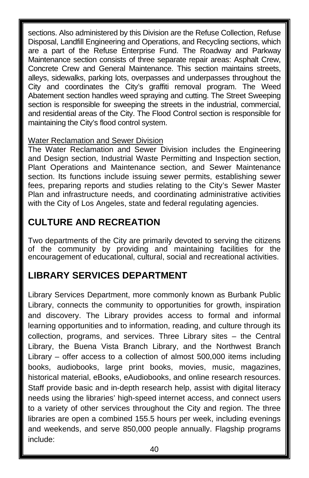sections. Also administered by this Division are the Refuse Collection, Refuse Disposal, Landfill Engineering and Operations, and Recycling sections, which are a part of the Refuse Enterprise Fund. The Roadway and Parkway Maintenance section consists of three separate repair areas: Asphalt Crew, Concrete Crew and General Maintenance. This section maintains streets, alleys, sidewalks, parking lots, overpasses and underpasses throughout the City and coordinates the City's graffiti removal program. The Weed Abatement section handles weed spraying and cutting. The Street Sweeping section is responsible for sweeping the streets in the industrial, commercial, and residential areas of the City. The Flood Control section is responsible for maintaining the City's flood control system.

#### Water Reclamation and Sewer Division

The Water Reclamation and Sewer Division includes the Engineering and Design section, Industrial Waste Permitting and Inspection section, Plant Operations and Maintenance section, and Sewer Maintenance section. Its functions include issuing sewer permits, establishing sewer fees, preparing reports and studies relating to the City's Sewer Master Plan and infrastructure needs, and coordinating administrative activities with the City of Los Angeles, state and federal regulating agencies.

### **CULTURE AND RECREATION**

Two departments of the City are primarily devoted to serving the citizens of the community by providing and maintaining facilities for the encouragement of educational, cultural, social and recreational activities.

### **LIBRARY SERVICES DEPARTMENT**

Library Services Department, more commonly known as Burbank Public Library, connects the community to opportunities for growth, inspiration and discovery. The Library provides access to formal and informal learning opportunities and to information, reading, and culture through its collection, programs, and services. Three Library sites – the Central Library, the Buena Vista Branch Library, and the Northwest Branch Library – offer access to a collection of almost 500,000 items including books, audiobooks, large print books, movies, music, magazines, historical material, eBooks, eAudiobooks, and online research resources. Staff provide basic and in-depth research help, assist with digital literacy needs using the libraries' high-speed internet access, and connect users to a variety of other services throughout the City and region. The three libraries are open a combined 155.5 hours per week, including evenings and weekends, and serve 850,000 people annually. Flagship programs include: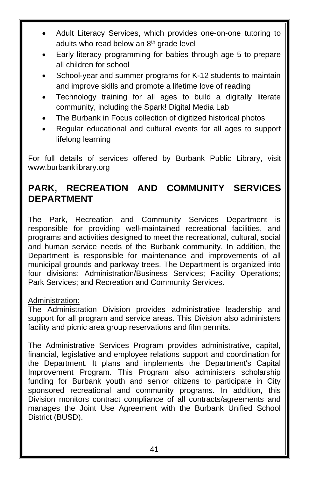- Adult Literacy Services, which provides one-on-one tutoring to adults who read below an 8th grade level
- Early literacy programming for babies through age 5 to prepare all children for school
- School-year and summer programs for K-12 students to maintain and improve skills and promote a lifetime love of reading
- Technology training for all ages to build a digitally literate community, including the Spark! Digital Media Lab
- The Burbank in Focus collection of digitized historical photos
- Regular educational and cultural events for all ages to support lifelong learning

For full details of services offered by Burbank Public Library, visit www.burbanklibrary.org

### **PARK, RECREATION AND COMMUNITY SERVICES DEPARTMENT**

The Park, Recreation and Community Services Department is responsible for providing well-maintained recreational facilities, and programs and activities designed to meet the recreational, cultural, social and human service needs of the Burbank community. In addition, the Department is responsible for maintenance and improvements of all municipal grounds and parkway trees. The Department is organized into four divisions: Administration/Business Services; Facility Operations; Park Services; and Recreation and Community Services.

#### Administration:

The Administration Division provides administrative leadership and support for all program and service areas. This Division also administers facility and picnic area group reservations and film permits.

The Administrative Services Program provides administrative, capital, financial, legislative and employee relations support and coordination for the Department. It plans and implements the Department's Capital Improvement Program. This Program also administers scholarship funding for Burbank youth and senior citizens to participate in City sponsored recreational and community programs. In addition, this Division monitors contract compliance of all contracts/agreements and manages the Joint Use Agreement with the Burbank Unified School District (BUSD).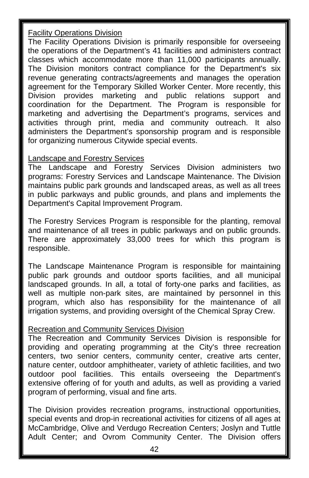#### Facility Operations Division

The Facility Operations Division is primarily responsible for overseeing the operations of the Department's 41 facilities and administers contract classes which accommodate more than 11,000 participants annually. The Division monitors contract compliance for the Department's six revenue generating contracts/agreements and manages the operation agreement for the Temporary Skilled Worker Center. More recently, this Division provides marketing and public relations support and coordination for the Department. The Program is responsible for marketing and advertising the Department's programs, services and activities through print, media and community outreach. It also administers the Department's sponsorship program and is responsible for organizing numerous Citywide special events.

#### Landscape and Forestry Services

The Landscape and Forestry Services Division administers two programs: Forestry Services and Landscape Maintenance. The Division maintains public park grounds and landscaped areas, as well as all trees in public parkways and public grounds, and plans and implements the Department's Capital Improvement Program.

The Forestry Services Program is responsible for the planting, removal and maintenance of all trees in public parkways and on public grounds. There are approximately 33,000 trees for which this program is responsible.

The Landscape Maintenance Program is responsible for maintaining public park grounds and outdoor sports facilities, and all municipal landscaped grounds. In all, a total of forty-one parks and facilities, as well as multiple non-park sites, are maintained by personnel in this program, which also has responsibility for the maintenance of all irrigation systems, and providing oversight of the Chemical Spray Crew.

#### Recreation and Community Services Division

The Recreation and Community Services Division is responsible for providing and operating programming at the City's three recreation centers, two senior centers, community center, creative arts center, nature center, outdoor amphitheater, variety of athletic facilities, and two outdoor pool facilities. This entails overseeing the Department's extensive offering of for youth and adults, as well as providing a varied program of performing, visual and fine arts.

The Division provides recreation programs, instructional opportunities, special events and drop-in recreational activities for citizens of all ages at McCambridge, Olive and Verdugo Recreation Centers; Joslyn and Tuttle Adult Center; and Ovrom Community Center. The Division offers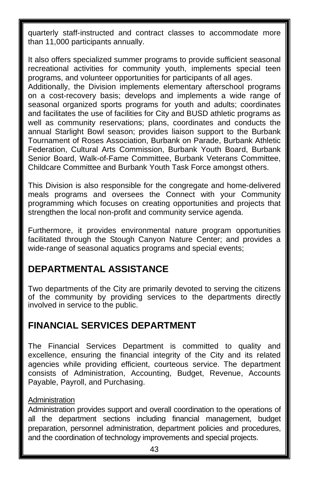quarterly staff-instructed and contract classes to accommodate more than 11,000 participants annually.

It also offers specialized summer programs to provide sufficient seasonal recreational activities for community youth, implements special teen programs, and volunteer opportunities for participants of all ages.

Additionally, the Division implements elementary afterschool programs on a cost-recovery basis; develops and implements a wide range of seasonal organized sports programs for youth and adults; coordinates and facilitates the use of facilities for City and BUSD athletic programs as well as community reservations; plans, coordinates and conducts the annual Starlight Bowl season; provides liaison support to the Burbank Tournament of Roses Association, Burbank on Parade, Burbank Athletic Federation, Cultural Arts Commission, Burbank Youth Board, Burbank Senior Board, Walk-of-Fame Committee, Burbank Veterans Committee, Childcare Committee and Burbank Youth Task Force amongst others.

This Division is also responsible for the congregate and home-delivered meals programs and oversees the Connect with your Community programming which focuses on creating opportunities and projects that strengthen the local non-profit and community service agenda.

Furthermore, it provides environmental nature program opportunities facilitated through the Stough Canyon Nature Center; and provides a wide-range of seasonal aquatics programs and special events;

### **DEPARTMENTAL ASSISTANCE**

Two departments of the City are primarily devoted to serving the citizens of the community by providing services to the departments directly involved in service to the public.

### **FINANCIAL SERVICES DEPARTMENT**

The Financial Services Department is committed to quality and excellence, ensuring the financial integrity of the City and its related agencies while providing efficient, courteous service. The department consists of Administration, Accounting, Budget, Revenue, Accounts Payable, Payroll, and Purchasing.

#### Administration

Administration provides support and overall coordination to the operations of all the department sections including financial management, budget preparation, personnel administration, department policies and procedures, and the coordination of technology improvements and special projects.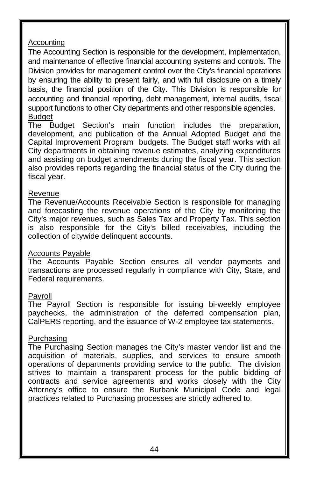#### **Accounting**

The Accounting Section is responsible for the development, implementation, and maintenance of effective financial accounting systems and controls. The Division provides for management control over the City's financial operations by ensuring the ability to present fairly, and with full disclosure on a timely basis, the financial position of the City. This Division is responsible for accounting and financial reporting, debt management, internal audits, fiscal support functions to other City departments and other responsible agencies. **Budget** 

The Budget Section's main function includes the preparation, development, and publication of the Annual Adopted Budget and the Capital Improvement Program budgets. The Budget staff works with all City departments in obtaining revenue estimates, analyzing expenditures and assisting on budget amendments during the fiscal year. This section also provides reports regarding the financial status of the City during the fiscal year.

#### Revenue

The Revenue/Accounts Receivable Section is responsible for managing and forecasting the revenue operations of the City by monitoring the City's major revenues, such as Sales Tax and Property Tax. This section is also responsible for the City's billed receivables, including the collection of citywide delinquent accounts.

#### Accounts Payable

The Accounts Payable Section ensures all vendor payments and transactions are processed regularly in compliance with City, State, and Federal requirements.

#### Payroll

The Payroll Section is responsible for issuing bi-weekly employee paychecks, the administration of the deferred compensation plan, CalPERS reporting, and the issuance of W-2 employee tax statements.

#### Purchasing

The Purchasing Section manages the City's master vendor list and the acquisition of materials, supplies, and services to ensure smooth operations of departments providing service to the public. The division strives to maintain a transparent process for the public bidding of contracts and service agreements and works closely with the City Attorney's office to ensure the Burbank Municipal Code and legal practices related to Purchasing processes are strictly adhered to.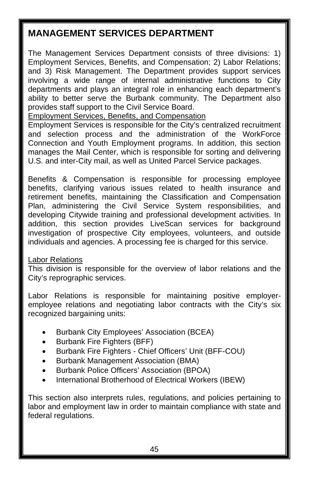### **MANAGEMENT SERVICES DEPARTMENT**

The Management Services Department consists of three divisions: 1) Employment Services, Benefits, and Compensation; 2) Labor Relations; and 3) Risk Management. The Department provides support services involving a wide range of internal administrative functions to City departments and plays an integral role in enhancing each department's ability to better serve the Burbank community. The Department also provides staff support to the Civil Service Board.

Employment Services, Benefits, and Compensation

Employment Services is responsible for the City's centralized recruitment and selection process and the administration of the WorkForce Connection and Youth Employment programs. In addition, this section manages the Mail Center, which is responsible for sorting and delivering U.S. and inter-City mail, as well as United Parcel Service packages.

Benefits & Compensation is responsible for processing employee benefits, clarifying various issues related to health insurance and retirement benefits, maintaining the Classification and Compensation Plan, administering the Civil Service System responsibilities, and developing Citywide training and professional development activities. In addition, this section provides LiveScan services for background investigation of prospective City employees, volunteers, and outside individuals and agencies. A processing fee is charged for this service.

#### Labor Relations

This division is responsible for the overview of labor relations and the City's reprographic services.

Labor Relations is responsible for maintaining positive employeremployee relations and negotiating labor contracts with the City's six recognized bargaining units:

- Burbank City Employees' Association (BCEA)
- Burbank Fire Fighters (BFF)
- Burbank Fire Fighters Chief Officers' Unit (BFF-COU)
- Burbank Management Association (BMA)
- Burbank Police Officers' Association (BPOA)
- International Brotherhood of Electrical Workers (IBEW)

This section also interprets rules, regulations, and policies pertaining to labor and employment law in order to maintain compliance with state and federal regulations.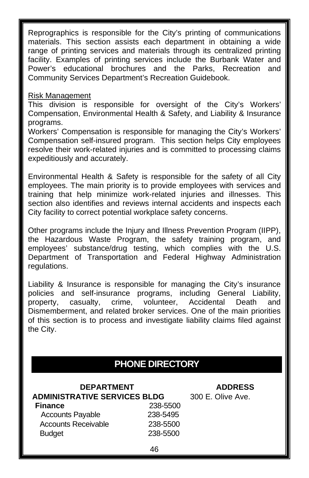Reprographics is responsible for the City's printing of communications materials. This section assists each department in obtaining a wide range of printing services and materials through its centralized printing facility. Examples of printing services include the Burbank Water and Power's educational brochures and the Parks, Recreation and Community Services Department's Recreation Guidebook.

#### Risk Management

This division is responsible for oversight of the City's Workers' Compensation, Environmental Health & Safety, and Liability & Insurance programs.

Workers' Compensation is responsible for managing the City's Workers' Compensation self-insured program. This section helps City employees resolve their work-related injuries and is committed to processing claims expeditiously and accurately.

Environmental Health & Safety is responsible for the safety of all City employees. The main priority is to provide employees with services and training that help minimize work-related injuries and illnesses. This section also identifies and reviews internal accidents and inspects each City facility to correct potential workplace safety concerns.

Other programs include the Injury and Illness Prevention Program (IIPP), the Hazardous Waste Program, the safety training program, and employees' substance/drug testing, which complies with the U.S. Department of Transportation and Federal Highway Administration regulations.

Liability & Insurance is responsible for managing the City's insurance policies and self-insurance programs, including General Liability, property, casualty, crime, volunteer, Accidental Death and Dismemberment, and related broker services. One of the main priorities of this section is to process and investigate liability claims filed against the City.

### **PHONE DIRECTORY**

| <b>DEPARTMENT</b>                   |          | <b>ADDRESS</b>    |
|-------------------------------------|----------|-------------------|
| <b>ADMINISTRATIVE SERVICES BLDG</b> |          | 300 E. Olive Ave. |
| <b>Finance</b>                      | 238-5500 |                   |
| <b>Accounts Payable</b>             | 238-5495 |                   |
| <b>Accounts Receivable</b>          | 238-5500 |                   |
| <b>Budget</b>                       | 238-5500 |                   |
|                                     |          |                   |
|                                     | AC       |                   |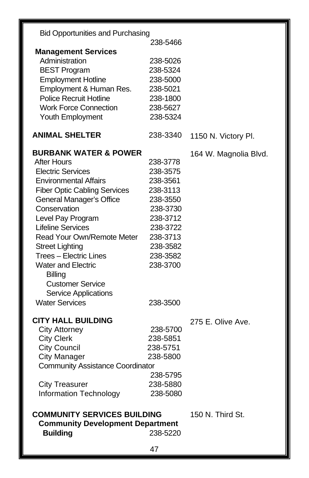| <b>Bid Opportunities and Purchasing</b> |          |                       |
|-----------------------------------------|----------|-----------------------|
|                                         | 238-5466 |                       |
| <b>Management Services</b>              |          |                       |
| Administration                          | 238-5026 |                       |
| <b>BEST Program</b>                     | 238-5324 |                       |
| <b>Employment Hotline</b>               | 238-5000 |                       |
| Employment & Human Res.                 | 238-5021 |                       |
| <b>Police Recruit Hotline</b>           | 238-1800 |                       |
| <b>Work Force Connection</b>            | 238-5627 |                       |
|                                         | 238-5324 |                       |
| Youth Employment                        |          |                       |
| <b>ANIMAL SHELTER</b>                   | 238-3340 | 1150 N. Victory Pl.   |
| <b>BURBANK WATER &amp; POWER</b>        |          | 164 W. Magnolia Blvd. |
| After Hours                             | 238-3778 |                       |
| <b>Electric Services</b>                | 238-3575 |                       |
| <b>Environmental Affairs</b>            | 238-3561 |                       |
| <b>Fiber Optic Cabling Services</b>     | 238-3113 |                       |
| General Manager's Office                | 238-3550 |                       |
| Conservation                            | 238-3730 |                       |
| Level Pay Program                       | 238-3712 |                       |
| <b>Lifeline Services</b>                | 238-3722 |                       |
|                                         |          |                       |
| Read Your Own/Remote Meter              | 238-3713 |                       |
| <b>Street Lighting</b>                  | 238-3582 |                       |
| Trees - Electric Lines                  | 238-3582 |                       |
| <b>Water and Electric</b>               | 238-3700 |                       |
| <b>Billing</b>                          |          |                       |
| <b>Customer Service</b>                 |          |                       |
| Service Applications                    |          |                       |
| <b>Water Services</b>                   | 238-3500 |                       |
| <b>CITY HALL BUILDING</b>               |          |                       |
| <b>City Attorney</b>                    | 238-5700 | 275 E. Olive Ave.     |
| <b>City Clerk</b>                       | 238-5851 |                       |
| <b>City Council</b>                     | 238-5751 |                       |
| <b>City Manager</b>                     | 238-5800 |                       |
|                                         |          |                       |
| <b>Community Assistance Coordinator</b> |          |                       |
|                                         | 238-5795 |                       |
| <b>City Treasurer</b>                   | 238-5880 |                       |
| Information Technology                  | 238-5080 |                       |
| <b>COMMUNITY SERVICES BUILDING</b>      |          | 150 N. Third St.      |
| <b>Community Development Department</b> |          |                       |
| <b>Building</b>                         | 238-5220 |                       |
|                                         |          |                       |
|                                         | 47       |                       |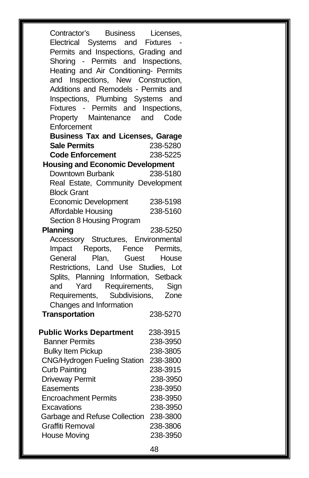Contractor's Business Licenses, Electrical Systems and Fixtures Permits and Inspections, Grading and Shoring - Permits and Inspections, Heating and Air Conditioning- Permits and Inspections, New Construction, Additions and Remodels - Permits and Inspections, Plumbing Systems and Fixtures - Permits and Inspections, Property Maintenance and Code **Enforcement Business Tax and Licenses, Garage Sale Permits** 238-5280 **Code Enforcement** 238-5225 **Housing and Economic Development** Downtown Burbank238-5180 Real Estate, Community Development Block Grant Economic Development 238-5198 Affordable Housing 238-5160 Section 8 Housing Program **Planning** 238-5250 Accessory Structures, Environmental Impact Reports, Fence Permits, General Plan, Guest House Restrictions, Land Use Studies, Lot Splits, Planning Information, Setback and Yard Requirements, Sign Requirements, Subdivisions, Zone Changes and Information **Transportation** 238-5270 **Public Works Department** 238-3915 Banner Permits 238-3950 Bulky Item Pickup 238-3805 CNG/Hydrogen Fueling Station 238-3800 Curb Painting 238-3915 Driveway Permit 238-3950 Easements 238-3950 Encroachment Permits 238-3950 Excavations 238-3950 Garbage and Refuse Collection 238-3800 Graffiti Removal 238-3806 House Moving 238-3950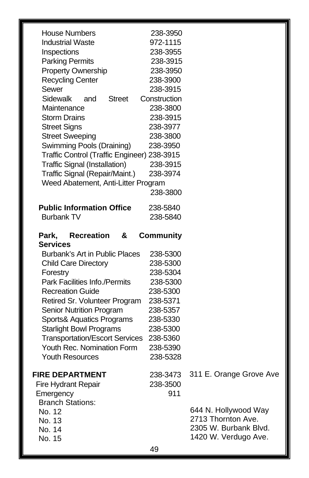| <b>House Numbers</b><br><b>Industrial Waste</b><br>Inspections<br><b>Parking Permits</b><br>Property Ownership<br><b>Recycling Center</b><br>Sewer<br>Sidewalk<br><b>Street</b><br>and<br>Maintenance | 238-3950<br>972-1115<br>238-3955<br>238-3915<br>238-3950<br>238-3900<br>238-3915<br>Construction<br>238-3800 |                         |
|-------------------------------------------------------------------------------------------------------------------------------------------------------------------------------------------------------|--------------------------------------------------------------------------------------------------------------|-------------------------|
| <b>Storm Drains</b><br><b>Street Signs</b>                                                                                                                                                            | 238-3915<br>238-3977                                                                                         |                         |
| <b>Street Sweeping</b>                                                                                                                                                                                | 238-3800                                                                                                     |                         |
| Swimming Pools (Draining)                                                                                                                                                                             | 238-3950                                                                                                     |                         |
| Traffic Control (Traffic Engineer) 238-3915                                                                                                                                                           |                                                                                                              |                         |
| Traffic Signal (Installation)                                                                                                                                                                         | 238-3915                                                                                                     |                         |
| Traffic Signal (Repair/Maint.)                                                                                                                                                                        | 238-3974                                                                                                     |                         |
| Weed Abatement, Anti-Litter Program                                                                                                                                                                   |                                                                                                              |                         |
|                                                                                                                                                                                                       | 238-3800                                                                                                     |                         |
| <b>Public Information Office</b>                                                                                                                                                                      | 238-5840                                                                                                     |                         |
| <b>Burbank TV</b>                                                                                                                                                                                     | 238-5840                                                                                                     |                         |
| <b>Recreation</b><br>Park,<br>&                                                                                                                                                                       | <b>Community</b>                                                                                             |                         |
| <b>Services</b>                                                                                                                                                                                       |                                                                                                              |                         |
| Burbank's Art in Public Places                                                                                                                                                                        | 238-5300                                                                                                     |                         |
| <b>Child Care Directory</b>                                                                                                                                                                           | 238-5300                                                                                                     |                         |
| Forestry                                                                                                                                                                                              | 238-5304                                                                                                     |                         |
| Park Facilities Info./Permits                                                                                                                                                                         | 238-5300                                                                                                     |                         |
| <b>Recreation Guide</b>                                                                                                                                                                               | 238-5300                                                                                                     |                         |
| Retired Sr. Volunteer Program                                                                                                                                                                         | 238-5371                                                                                                     |                         |
| Senior Nutrition Program                                                                                                                                                                              | 238-5357                                                                                                     |                         |
| Sports& Aquatics Programs                                                                                                                                                                             | 238-5330                                                                                                     |                         |
| <b>Starlight Bowl Programs</b><br><b>Transportation/Escort Services</b>                                                                                                                               | 238-5300<br>238-5360                                                                                         |                         |
| Youth Rec. Nomination Form                                                                                                                                                                            | 238-5390                                                                                                     |                         |
| <b>Youth Resources</b>                                                                                                                                                                                | 238-5328                                                                                                     |                         |
|                                                                                                                                                                                                       |                                                                                                              |                         |
| <b>FIRE DEPARTMENT</b>                                                                                                                                                                                | 238-3473                                                                                                     | 311 E. Orange Grove Ave |
| Fire Hydrant Repair<br>Emergency                                                                                                                                                                      | 238-3500<br>911                                                                                              |                         |
| <b>Branch Stations:</b>                                                                                                                                                                               |                                                                                                              |                         |
| No. 12                                                                                                                                                                                                |                                                                                                              | 644 N. Hollywood Way    |
| No. 13                                                                                                                                                                                                |                                                                                                              | 2713 Thornton Ave.      |
| No. 14                                                                                                                                                                                                |                                                                                                              | 2305 W. Burbank Blvd.   |
| No. 15                                                                                                                                                                                                |                                                                                                              | 1420 W. Verdugo Ave.    |
|                                                                                                                                                                                                       | 49                                                                                                           |                         |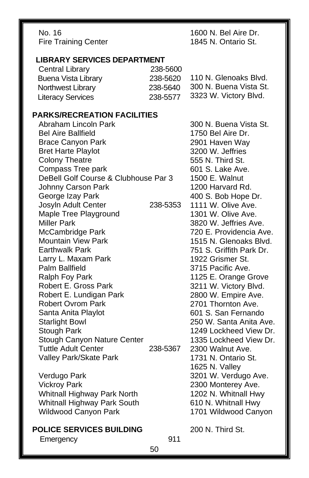No. 16 Fire Training Center 1600 N. Bel Aire Dr. 1845 N. Ontario St.

#### **LIBRARY SERVICES DEPARTMENT**

| 238-5600 |                        |
|----------|------------------------|
| 238-5620 | 110 N. Glenoaks Blvd.  |
| 238-5640 | 300 N. Buena Vista St. |
| 238-5577 | 3323 W. Victory Blvd.  |
|          |                        |

#### **PARKS/RECREATION FACILITIES**

Abraham Lincoln Park Bel Aire Ballfield Brace Canyon Park Bret Harte Playlot Colony Theatre Compass Tree park DeBell Golf Course & Clubhouse Par 3 Johnny Carson Park George Izay Park Josyln Adult Center 238-5353 Maple Tree Playground Miller Park McCambridge Park Mountain View Park Earthwalk Park Larry L. Maxam Park Palm Ballfield Ralph Foy Park Robert E. Gross Park Robert E. Lundigan Park Robert Ovrom Park Santa Anita Playlot Starlight Bowl Stough Park Stough Canyon Nature Center Tuttle Adult Center 238-5367 Valley Park/Skate Park

Verdugo Park Vickroy Park Whitnall Highway Park North Whitnall Highway Park South Wildwood Canyon Park

#### **POLICE SERVICES BUILDING**

Emergency 911

300 N. Buena Vista St. 1750 Bel Aire Dr. 2901 Haven Way 3200 W. Jeffries 555 N. Third St. 601 S. Lake Ave. 1500 E. Walnut 1200 Harvard Rd. 400 S. Bob Hope Dr. 1111 W. Olive Ave. 1301 W. Olive Ave. 3820 W. Jeffries Ave. 720 E. Providencia Ave. 1515 N. Glenoaks Blvd. 751 S. Griffith Park Dr. 1922 Grismer St. 3715 Pacific Ave. 1125 E. Orange Grove 3211 W. Victory Blvd. 2800 W. Empire Ave. 2701 Thornton Ave. 601 S. San Fernando 250 W. Santa Anita Ave. 1249 Lockheed View Dr. 1335 Lockheed View Dr. 2300 Walnut Ave. 1731 N. Ontario St. 1625 N. Valley 3201 W. Verdugo Ave. 2300 Monterey Ave. 1202 N. Whitnall Hwy 610 N. Whitnall Hwy 1701 Wildwood Canyon

200 N. Third St.

50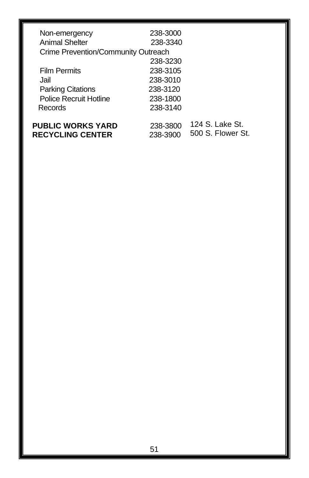| Non-emergency                       | 238-3000 |                   |  |
|-------------------------------------|----------|-------------------|--|
| <b>Animal Shelter</b>               | 238-3340 |                   |  |
| Crime Prevention/Community Outreach |          |                   |  |
|                                     | 238-3230 |                   |  |
| <b>Film Permits</b>                 | 238-3105 |                   |  |
| Jail                                | 238-3010 |                   |  |
| <b>Parking Citations</b>            | 238-3120 |                   |  |
| Police Recruit Hotline              | 238-1800 |                   |  |
| Records                             | 238-3140 |                   |  |
|                                     |          |                   |  |
| <b>PUBLIC WORKS YARD</b>            | 238-3800 | 124 S. Lake St.   |  |
| <b>RECYCLING CENTER</b>             | 238-3900 | 500 S. Flower St. |  |
|                                     |          |                   |  |